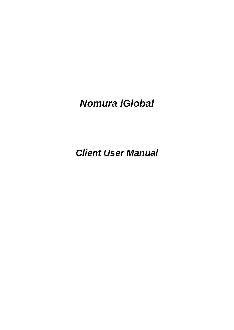# *Nomura iGlobal*

*Client User Manual*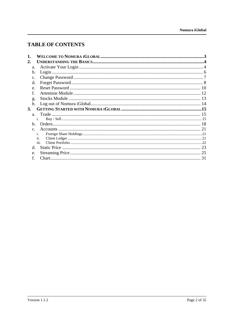### **TABLE OF CONTENTS**

| 2.                 |                |    |
|--------------------|----------------|----|
| a.                 |                |    |
| b.                 |                |    |
| $\mathbf{C}$ .     |                |    |
| d.                 |                |    |
| e.                 |                |    |
| f.                 |                |    |
| g.                 |                |    |
| h.                 |                |    |
|                    |                |    |
| 3.                 |                |    |
| a <sub>1</sub>     |                |    |
|                    | i.             |    |
| $h_{\cdot}$        |                |    |
| $\mathcal{C}$      |                |    |
|                    | $\mathbf{1}$ . |    |
|                    | ii.            |    |
|                    | iii.           |    |
| d.                 |                |    |
| e.<br>$\mathbf{f}$ |                | 31 |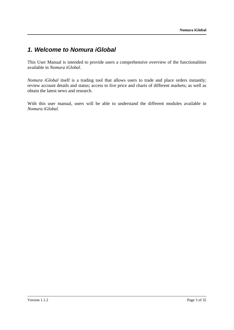## *1. Welcome to Nomura iGlobal*

This User Manual is intended to provide users a comprehensive overview of the functionalities available in *Nomura iGlobal*.

*Nomura iGlobal* itself is a trading tool that allows users to trade and place orders instantly; review account details and status; access to live price and charts of different markets; as well as obtain the latest news and research.

With this user manual, users will be able to understand the different modules available in *Nomura iGlobal.*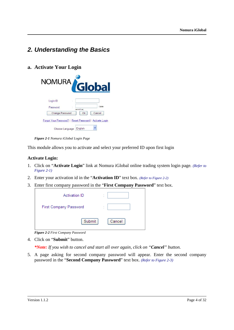### *2. Understanding the Basics*

#### **a. Activate Your Login**

| NOMURA                                                       | Global                    |
|--------------------------------------------------------------|---------------------------|
| Login ID                                                     |                           |
| Password                                                     | (case<br>sensitive)       |
| Change Password                                              | Cancel<br>Ok              |
| Forgot Your Password?   Reset Password  <br>Choose Language: | Activate Login<br>English |

*Figure 2-1 Nomura iGlobal Login Page*

This module allows you to activate and select your preferred ID upon first login

#### **Activate Login:**

- 1. Click on "**Activate Login**" link at Nomura iGlobal online trading system login page*. (Refer to Figure 2-1)*
- 2. Enter your activation id in the "**Activation ID**" text box. *(Refer to Figure 2-2)*
- 3. Enter first company password in the "**First Company Password**" text box.

| Activation ID          | $\sim$<br>$\sim$       |        |
|------------------------|------------------------|--------|
| First Company Password | $\mathbf{r}$<br>$\sim$ |        |
| Submit                 |                        | Cancel |

*Figure 2-2 First Company Password*

4. Click on "**Submit**" button.

*\*Note: If you wish to cancel and start all over again, click on "Cancel" button.* 

5. A page asking for second company password will appear. Enter the second company password in the "**Second Company Password**" text box. *(Refer to Figure 2-3)*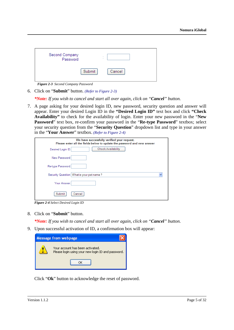| Second Company<br>Password |        | $\sim$<br>$\sim$ |        |
|----------------------------|--------|------------------|--------|
|                            | Submit |                  | Cancel |

 *Figure 2-3 Second Company Password* 

6. Click on "**Submit**" button. *(Refer to Figure 2-3)*

*\*Note: If you wish to cancel and start all over again, click on "Cancel" button.* 

7. A page asking for your desired login ID, new password, security question and answer will appear. Enter your desired Login ID in the **"Desired Login ID"** text box and click **"Check Availability"** to check for the availability of login. Enter your new password in the "**New Password**" text box, re-confirm your password in the "**Re-type Password**" textbox; select your security question from the "**Security Question**" dropdown list and type in your answer in the "**Your Answer**" textbox. *(Refer to Figure 2-4)*

|                                           | We have successfully verified your request.<br>Please enter all the fields below to update the password and new answer |  |
|-------------------------------------------|------------------------------------------------------------------------------------------------------------------------|--|
| Desired Login ID:                         | Check Availability                                                                                                     |  |
| New Password:                             |                                                                                                                        |  |
| Re-type Password:                         |                                                                                                                        |  |
| Security Question: What is your pet name? |                                                                                                                        |  |
| Your Answer:                              |                                                                                                                        |  |
| Submit<br>Cancel                          |                                                                                                                        |  |

*Figure 2-4 Select Desired Login ID*

8. Click on "**Submit**" button.

*\*Note: If you wish to cancel and start all over again, click on "Cancel" button.* 

9. Upon successful activation of ID, a confirmation box will appear:

|                                                                                        | <b>Message from webpage</b> |
|----------------------------------------------------------------------------------------|-----------------------------|
| Your account has been activated.<br>Please login using your new login ID and password. |                             |
|                                                                                        |                             |

Click "**Ok**" button to acknowledge the reset of password.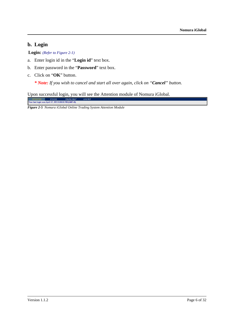### **b. Login**

### **Login:** *(Refer to Figure 2-1)*

- a. Enter login id in the "**Login id**" text box.
- b. Enter password in the "**Password**" text box.
- c. Click on "**OK**" button.

*\* Note: If you wish to cancel and start all over again, click on "Cancel" button.* 

Upon successful login, you will see the Attention module of Nomura iGlobal.<br>
Your last login was April 27, 2012 8:09:00 PM (GMT+8).

*Figure 2-5 Nomura iGlobal Online Trading System Attention Module*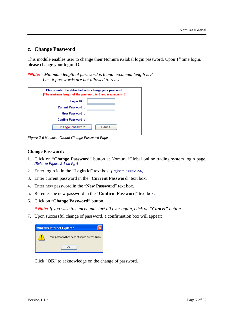### **c. Change Password**

This module enables user to change their Nomura iGlobal login password. Upon  $1<sup>st</sup>$  time login, please change your login ID.

*\*Note: - Minimum length of password is 6 and maximum length is 8. - Last 6 passwords are not allowed to reuse.*

| Please enter the detail below to change your password.<br>(The minimum length of the password is 6 and maximum is 8) |  |
|----------------------------------------------------------------------------------------------------------------------|--|
| Login ID:                                                                                                            |  |
| <b>Current Password:</b>                                                                                             |  |
| <b>New Password:</b>                                                                                                 |  |
| <b>Confirm Password:</b>                                                                                             |  |
| Cancel<br>Change Password                                                                                            |  |

*Figure 2-6 Nomura iGlobal Change Password Page* 

#### **Change Password:**

- 1. Click on "**Change Password**" button at Nomura iGlobal online trading system login page. *(Refer to Figure 2-1 on Pg 4)*
- 2. Enter login id in the "**Login id**" text box. *(Refer to Figure 2-6)*
- 3. Enter current password in the "**Current Password**" text box.
- 4. Enter new password in the "**New Password**" text box.
- 5. Re-enter the new password in the "**Confirm Password**" text box.
- 6. Click on "**Change Password**" button.

*\* Note: If you wish to cancel and start all over again, click on "Cancel" button.* 

7. Upon successful change of password, a confirmation box will appear:

| <b>Windows Internet Explorer</b>             |  |  |
|----------------------------------------------|--|--|
| Your password has been changed successfully. |  |  |
|                                              |  |  |

Click "**OK**" to acknowledge on the change of password.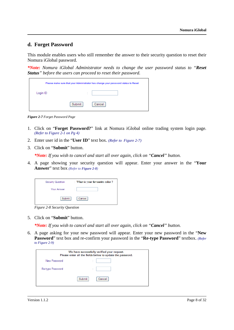#### **d. Forget Password**

This module enables users who still remember the answer to their security question to reset their Nomura iGlobal password.

*\*Note: Nomura iGlobal Administrator needs to change the user password status to "Reset Status" before the users can proceed to reset their password.* 

|          |        | Please make sure that your Administrator has change your password status to Reset |
|----------|--------|-----------------------------------------------------------------------------------|
| Login ID | $\sim$ |                                                                                   |
|          | Submit | Cancel                                                                            |

*Figure 2-7 Forget Password Page*

- 1. Click on "**Forget Password?**" link at Nomura iGlobal online trading system login page*. (Refer to Figure 2-1 on Pg 4)*
- 2. Enter user id in the "**User ID**" text box. *(Refer to Figure 2-7)*
- 3. Click on "**Submit**" button.

*\*Note: If you wish to cancel and start all over again, click on "Cancel" button.* 

4. A page showing your security question will appear. Enter your answer in the "**Your Answer**" text box *(Refer to Figure 2-8)*

| Security Question | : What is your favourite color? |
|-------------------|---------------------------------|
| Your Answer       |                                 |
| <b>Submit</b>     | Cancel                          |

*Figure 2-8 Security Question*

5. Click on "**Submit**" button.

*\*Note: If you wish to cancel and start all over again, click on "Cancel" button.* 

6. A page asking for your new password will appear. Enter your new password in the "**New Password**" text box and re-confirm your password in the "**Re-type Password**" textbox. *(Refer to Figure 2-9)*

| We have successfully verified your request.<br>Please enter all the fields below to update the password. |                  |
|----------------------------------------------------------------------------------------------------------|------------------|
| New Password                                                                                             | ٠                |
| Re-type Password                                                                                         | $\sim$           |
|                                                                                                          | Submit<br>Cancel |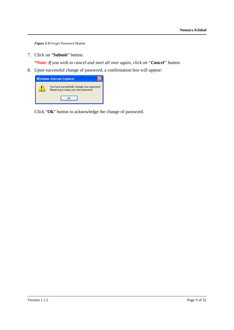*Figure 2-9 Forget Password Module*

7. Click on "**Submit**" button.

*\*Note: If you wish to cancel and start all over again, click on "Cancel" button.* 

8. Upon successful change of password, a confirmation box will appear:

| <b>Windows Internet Explorer</b>                                                     |
|--------------------------------------------------------------------------------------|
| You have successfully change your password.<br>Please log in using your new password |
| ∩K                                                                                   |

Click "**Ok**" button to acknowledge the change of password.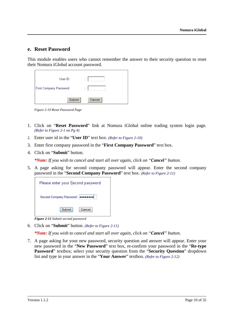#### **e. Reset Password**

This module enables users who cannot remember the answer to their security question to reset their Nomura iGlobal account password.

| User ID                       | ٠<br>×                    |
|-------------------------------|---------------------------|
| <b>First Company Password</b> | ٠<br>$\ddot{\phantom{1}}$ |
| Submit                        | Cancel                    |

*Figure 2-10 Reset Password Page*

- 1. Click on "**Reset Password**" link at Nomura iGlobal online trading system login page*. (Refer to Figure 2-1 on Pg 4)*
- 2. Enter user id in the "**User ID**" text box. *(Refer to Figure 2-10)*
- 3. Enter first company password in the "**First Company Password**" text box.
- 4. Click on "**Submit**" button.

*\*Note: If you wish to cancel and start all over again, click on "Cancel" button.* 

5. A page asking for second company password will appear. Enter the second company password in the "**Second Company Password**" text box. *(Refer to Figure 2-11)*

| Please enter your Second password   |
|-------------------------------------|
| Second Company Password:   ******** |
| Submit<br>Cancel                    |

*Figure 2-11 Submit second password* 

6. Click on "**Submit**" button. *(Refer to Figure 2-11)*

*\*Note: If you wish to cancel and start all over again, click on "Cancel" button.* 

7. A page asking for your new password, security question and answer will appear. Enter your new password in the "**New Password**" text box, re-confirm your password in the "**Re-type Password**" textbox; select your security question from the "**Security Question**" dropdown list and type in your answer in the "**Your Answer**" textbox. *(Refer to Figure 2-12)*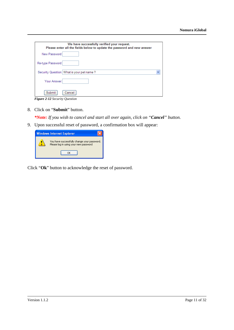| We have successfully verified your request.<br>Please enter all the fields below to update the password and new answer |  |
|------------------------------------------------------------------------------------------------------------------------|--|
| New Password:                                                                                                          |  |
| Re-type Password:                                                                                                      |  |
| Security Question: What is your pet name?                                                                              |  |
| Your Answer:                                                                                                           |  |
| Submit<br>Cancel                                                                                                       |  |

*Figure 2-12 Security Question*

#### 8. Click on "**Submit**" button.

*\*Note: If you wish to cancel and start all over again, click on "Cancel" button.* 

9. Upon successful reset of password, a confirmation box will appear:

| <b>Windows Internet Explorer</b> |                                                                                      |  |  |  |  |  |  |  |  |
|----------------------------------|--------------------------------------------------------------------------------------|--|--|--|--|--|--|--|--|
|                                  | You have successfully change your password.<br>Please log in using your new password |  |  |  |  |  |  |  |  |
|                                  |                                                                                      |  |  |  |  |  |  |  |  |

Click "**Ok**" button to acknowledge the reset of password.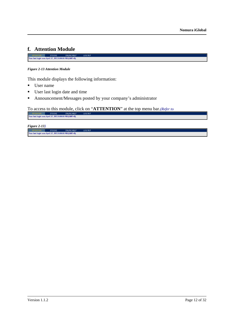### **f. Attention Module**

ONLINE HELP Your last login was April 27, 2012 8:09:00 PM (GMT+8).

#### *Figure 2-13 Attention Module*

This module displays the following information:

- User name
- User last login date and time
- Announcement/Messages posted by your company's administrator

LOG OU

LOG OU

To access to this module, click on "**ATTENTION**" at the top menu bar.*(Refer to* 

**STOCKS** Your last login was April 27, 2012 8:09:00 PM (GMT+8).

*Figure 2-13)*

ONLINE HELP **STOCKS** ALTENTION STOCKS ONLINE HELP<br>Your last login was April 27, 2012 8:09:00 PM (GMT+8).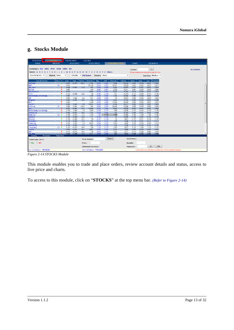### **g. Stocks Module**

| <b>ATTENTION</b>                         |           | <b>STOCKS</b>        |                     |                          | <b>ONLINE HELP</b>   |                                    | <b>LOG OUT</b>                 |                     |                |                        |                  |                    |                |                |                                                                 |
|------------------------------------------|-----------|----------------------|---------------------|--------------------------|----------------------|------------------------------------|--------------------------------|---------------------|----------------|------------------------|------------------|--------------------|----------------|----------------|-----------------------------------------------------------------|
| <b>TRADE</b>                             |           |                      | <b>ORDERS</b>       |                          | <b>ACCOUNTS</b>      |                                    |                                | <b>STATIC PRICE</b> |                | <b>STREAMING PRICE</b> |                  | <b>CHART</b>       |                |                | <b>RESEARCH</b>                                                 |
|                                          |           |                      |                     |                          |                      |                                    |                                |                     |                |                        |                  |                    |                |                |                                                                 |
| Exchanges: SGX HKEx NYSE NASD AMEX IDX   |           |                      |                     |                          |                      |                                    |                                |                     |                |                        |                  | <b>Counter</b>     |                | Go             |                                                                 |
| Stocks: A B C                            | D         | EFGHIJKLM            |                     |                          | $\mathbf{P}$<br>N O  | Q <sub>R</sub><br><b>S1</b>        | S2 T U V W X Y Z Others        |                     |                |                        |                  |                    |                |                | (Prices displayed are delayed at least 20 mins)                 |
| -More Market Info- $\blacktriangleright$ |           | <b>Market: Ready</b> |                     | $\overline{\phantom{a}}$ | -Watchlist-          |                                    |                                | Sectors: - Sector-  |                |                        | ۰                |                    |                |                |                                                                 |
|                                          |           |                      |                     |                          |                      |                                    | <b>Edit Quotes</b>             |                     |                |                        |                  |                    |                |                | Font Size: Medium v                                             |
|                                          |           |                      |                     |                          |                      |                                    |                                |                     |                |                        |                  |                    |                |                |                                                                 |
| Top 30 Volume                            |           |                      | Rem<br>$\mathsf{A}$ | Last                     | Cha                  | %Chq                               | BVol (K)                       | <b>Buy</b>          | Sell           | SVol (K)               | Vol (K)          | Open               | High           | Low            | PrvClose                                                        |
| <b>WE Hidgs</b><br><b>MDR</b>            |           |                      | XD                  | 0.033                    | $+0.015$             | $+83.3$                            | 1,196                          | 0.032               | 0.033          | 1,894                  | 58,034           | 0.022              | 0.039          | 0.022          | 0.018                                                           |
| JEL Corp^                                |           |                      |                     | 0.012<br>0.074           | $\sim$<br>$+0.001$   | $\overline{\phantom{a}}$<br>$+1.4$ | 87,106<br>476                  | 0.011<br>0.074      | 0.012<br>0.075 | 14,781<br>2,927        | 56,029<br>42,707 | 0.012<br>0.077     | 0.012<br>0.077 | 0.012<br>0.073 | 0.012<br>0.073                                                  |
| UniFiber                                 |           |                      | ٠                   | 0.060                    | .                    | ٠                                  | 406                            | 0.060               | 0.061          | 2,038                  | 42,411           | 0.061              | 0.063          | 0.059          | 0.060                                                           |
| NexGenSCom^                              |           |                      | ٠                   | 0.013                    | u.                   | ×                                  | 5,676                          | 0.013               | 0.014          | 8,472                  | 41,282           | 0.014              | 0.015          | 0.013          | 0.013                                                           |
| <b>TT Int</b>                            |           |                      | ٠                   | 0.146                    | $+0.004$             | $+2.8$                             | 80                             | 0.145               | 0.146          | 131                    | 37,810           | 0.147              | 0.150          | 0.144          | 0.142                                                           |
| HSI20800MBeC/V120530@                    |           |                      |                     | 0.053                    | ×.                   | ×.                                 | 1,370                          | 0.052               | 0.053          | 1,100                  | 30,840           | 0.058              | 0.059          | 0.052          | 0.053                                                           |
| <b>JEP</b>                               |           |                      | ٠                   | 0.050                    | $-0.002$             | $-3.8$                             | 631                            | 0.049               | 0.050          | 10                     | 19,254           | 0.056              | 0.056          | 0.048          | 0.052                                                           |
| Ntegrator                                |           |                      | ٠                   | 0.039                    | $+0.001$             | $+2.6$                             | 409                            | 0.039               | 0.040          | 3,612                  | 17,741           | 0.039              | 0.042          | 0.039          | 0.038                                                           |
| <b>HLH</b>                               |           |                      | ٠                   | 0.025                    | $\sim$               | $\sim$                             | 3,298                          | 0.025               | 0.026          | 12,696                 | 16,836           | 0.026              | 0.026          | 0.025          | 0.025                                                           |
| AdvSCT                                   |           |                      | ٠                   | 0.028                    | $-0.001$             | $-3.4$                             | 18,044                         | 0.028               | 0.029          | 6,159                  | 16,317           | 0.029              | 0.030          | 0.028          | 0.029                                                           |
| <b>LH Group</b>                          |           |                      | <b>CD</b>           | 0.009                    | $+0.001$             | $+12.5$                            | 564                            | 0.009               | 0.010          | 24,188                 | 13,766           | 0.009              | 0.009          | 0.009          | 0.008                                                           |
| lpco.                                    |           |                      |                     | 0.023                    | $+0.001$             | $+4.5$                             | 14,898                         | 0.022               | 0.023          | 8,802                  | 13,526           | 0.023              | 0.024          | 0.023          | 0.022                                                           |
| HSI20200MBeCVV120628@                    |           |                      | ٠                   | 0.136                    | $-0.002$             | $-1.4$                             | 1,050                          | 0.136               | 0.137          | 800                    | 13,026           | 0.142              | 0.142          | 0.135          | 0.138                                                           |
| ChinaACorp                               |           |                      | ٠                   | 0.039                    | $+0.001$             | $+2.6$                             | 1,476                          | 0.039               | 0.040          | 755                    | 12,764           | 0.038              | 0.044          | 0.038          | 0.038                                                           |
| Noble Grp                                |           |                      | $CD +$              | 1.195                    | $+0.015$             | $+1.3$                             | 1,728                          | 1.190               | 1.195          | 1,389                  | 12,065           | 1.180              | 1.200          | 1.180          | 1.180                                                           |
| Starland                                 |           |                      | ٠                   | 0.199<br>0.138           | $+0.005$<br>$+0.003$ | $+2.6$<br>$+2.2$                   | 171                            | 0.198<br>0.137      | 0.199          | 54                     | 10,946           | 0.199<br>0.137     | 0.205<br>0.141 | 0.196<br>0.136 | 0.194<br>0.135                                                  |
| Rowsley<br><b>Informatics</b>            |           |                      |                     | 0.114                    | $+0.002$             | $+1.8$                             | 68<br>285                      | 0.114               | 0.138<br>0.115 | 32<br>649              | 9,637<br>9,248   | 0.114              | 0.117          | 0.113          | 0.112                                                           |
| GoldenAgr                                |           |                      | ٠                   | 0.700                    | $-0.010$             | $-1.4$                             | 4,945                          | 0.700               | 0.705          | 5,213                  | 9,245            | 0.705              | 0.710          | 0.700          | 0.710                                                           |
| AddvalTech                               |           |                      |                     | 0.106                    | $-0.002$             | $-1.9$                             | 485                            | 0.105               | 0.106          | 254                    | 9.186            | 0.110              | 0.110          | 0.103          | 0.108                                                           |
| Yangzijiang                              |           |                      | $CD +$              | 1.135                    | $+0.010$             | $+0.9$                             | 286                            | 1.130               | 1.135          | 1,115                  | 8,657            | 1.125              | 1.140          | 1.120          | 1.125                                                           |
| Thakral                                  |           |                      |                     | 0.033                    | $+0.001$             | $+3.1$                             | 4,962                          | 0.032               | 0.033          | 2,274                  | 8,540            | 0.033              | 0.033          | 0.033          | 0.032                                                           |
| <b>UPP</b>                               |           |                      | ٠                   | 0.410                    | $+0.010$             | $+2.5$                             | 148                            | 0.410               | 0.415          | 1,553                  | 8,171            | 0.410              | 0.420          | 0.400          | 0.400                                                           |
| <b>PSL Hida</b>                          |           |                      | ٠                   | 0.385                    | $+0.005$             | $+1.3$                             | 3,111                          | 0.380               | 0.390          | 863                    | 8,092            | 0.385              | 0.395          | 0.385          | 0.380                                                           |
| Working                                  | Processed |                      | <b>Trade Done</b>   |                          |                      |                                    |                                |                     |                |                        |                  |                    |                |                |                                                                 |
| <b>Client Code: DM101</b>                |           |                      |                     |                          |                      |                                    | <b>Stock Symbol:</b>           |                     |                | Search                 |                  | <b>Stock Name:</b> |                |                |                                                                 |
| <b>Buy Sell</b>                          |           |                      |                     |                          |                      | Price:                             |                                |                     |                |                        |                  | <b>Quantity:</b>   |                |                |                                                                 |
|                                          |           |                      |                     |                          |                      |                                    | <b>Settlement Currency:</b>    |                     |                |                        |                  | Password:          |                | <b>OK</b>      | Clear                                                           |
| Buy Limit Balance: THB 49,000            |           |                      |                     |                          |                      |                                    | Sell Limit Balance: THB 50,000 |                     |                |                        |                  |                    |                |                | Limits shown are estimates rounded down to the nearest thousand |

*Figure 2-14 STOCKS Module* 

This module enables you to trade and place orders, review account details and status, access to live price and charts.

To access to this module, click on "**STOCKS**" at the top menu bar. *(Refer to Figure 2-14)*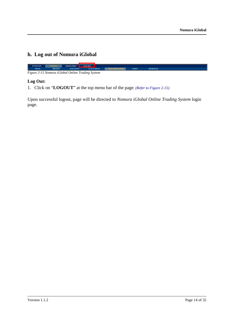### **h. Log out of Nomura iGlobal**

*Figure 2-15 Nomura iGlobal Online Trading System* 

ONLINE HELP

**COLINITY** 

LOG OUT

#### **Log Out:**

ATTENTION

1. Click on "**LOGOUT**" at the top menu bar of the page*. (Refer to Figure 2-15)*

Upon successful logout, page will be directed to *Nomura iGlobal Online Trading System* login page*.* 

**CHART** 

RESEARCH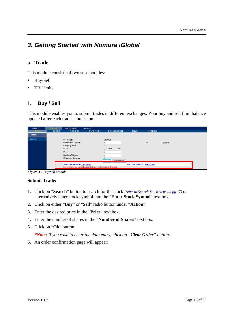### *3. Getting Started with Nomura iGlobal*

#### **a. Trade**

This module consists of two sub-modules:

- Buy/Sell
- **TR Limits**

#### **i. Buy / Sell**

This module enables you to submit trades in different exchanges. Your buy and sell limit balance updated after each trade submission.

| <b>ATTENTION</b> | <b>STOCKS</b> | <b>ONLINE HELP</b>                                                                                                                   | <b>LOG OUT</b>                                                  |                                       |                                |                 |        |  |
|------------------|---------------|--------------------------------------------------------------------------------------------------------------------------------------|-----------------------------------------------------------------|---------------------------------------|--------------------------------|-----------------|--------|--|
| TRADE:           | <b>ORDERS</b> | <b>ACCOUNTS</b>                                                                                                                      | <b>STATIC PRICE</b>                                             | <b>STREAMING PRICE</b>                | <b>CHART</b>                   | <b>RESEARCH</b> |        |  |
| Trade            |               |                                                                                                                                      |                                                                 |                                       |                                |                 |        |  |
| Buy/Sell         |               | <b>Client Code</b><br><b>Enter Stock Symbol</b><br>Company Name<br>Action<br>Price<br>Number of Shares<br><b>Settlement Currency</b> |                                                                 | : DM101<br>◯ Sell<br>$\therefore$ Buy |                                | <b>Or</b>       | Search |  |
|                  |               | Buy Limit Balance: THB 49,000                                                                                                        | Limits shown are estimates rounded down to the nearest thousand | Clear Order<br><b>OK</b>              | Sell Limit Balance: THB 50,000 |                 |        |  |

*Figure 3-1 Buy/Sell Module* 

#### **Submit Trade:**

- 1. Click on "**Search**" button to search for the stock *(refer to Search Stock steps on pg 17)* or alternatively enter stock symbol into the "**Enter Stock Symbol**" text box.
- 2. Click on either "**Buy**" or "**Sell**" radio button under "**Action**".
- 3. Enter the desired price in the "**Price**" text box.
- 4. Enter the number of shares in the "**Number of Shares**" text box.
- 5. Click on "**Ok**" button.

*\*Note: If you wish to clear the data entry, click on "Clear Order" button.*

6. An order confirmation page will appear: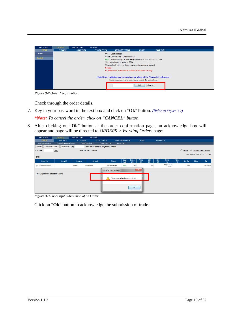| <b>STOCKS</b> | <b>ONLINE HELP</b>                                                   | LOG OUT             |                        |                                   |                                                                                                                                                                                                                   |  |  |  |  |  |  |  |
|---------------|----------------------------------------------------------------------|---------------------|------------------------|-----------------------------------|-------------------------------------------------------------------------------------------------------------------------------------------------------------------------------------------------------------------|--|--|--|--|--|--|--|
| <b>ORDERS</b> | <b>ACCOUNTS</b>                                                      | <b>STATIC PRICE</b> | <b>STREAMING PRICE</b> | <b>CHART</b>                      | <b>RESEARCH</b>                                                                                                                                                                                                   |  |  |  |  |  |  |  |
|               | <b>Order Confirmation</b><br>Client Code/Name: DM101/DM101           |                     |                        |                                   |                                                                                                                                                                                                                   |  |  |  |  |  |  |  |
|               | Buy 1,000 of Genting SP in Ready Market at a limit price of S\$1.725 |                     |                        |                                   |                                                                                                                                                                                                                   |  |  |  |  |  |  |  |
|               |                                                                      |                     |                        |                                   |                                                                                                                                                                                                                   |  |  |  |  |  |  |  |
|               | Please check with your dealer regarding the payment amount.          |                     |                        |                                   |                                                                                                                                                                                                                   |  |  |  |  |  |  |  |
|               | Notice:                                                              |                     |                        |                                   |                                                                                                                                                                                                                   |  |  |  |  |  |  |  |
|               |                                                                      |                     |                        |                                   |                                                                                                                                                                                                                   |  |  |  |  |  |  |  |
|               |                                                                      |                     |                        |                                   |                                                                                                                                                                                                                   |  |  |  |  |  |  |  |
|               |                                                                      |                     |                        |                                   |                                                                                                                                                                                                                   |  |  |  |  |  |  |  |
|               |                                                                      |                     |                        |                                   |                                                                                                                                                                                                                   |  |  |  |  |  |  |  |
|               |                                                                      |                     |                        | OK                                | Cancel                                                                                                                                                                                                            |  |  |  |  |  |  |  |
|               |                                                                      |                     |                        | You have chosen to settle in SGD. | All unexecuted orders will be deleted at the end of the day.<br>[ Note! Order validation and submission may take a while. Please click only once. ]<br>Enter your password to confirm and submit the order above. |  |  |  |  |  |  |  |

*Figure 3-2 Order Confirmation* 

Check through the order details.

7. Key in your password in the text box and click on "**Ok**" button. *(Refer to Figure 3-2)*

*\*Note: To cancel the order, click on "CANCEL" button.*

8. After clicking on "**Ok**" button at the order confirmation page, an acknowledge box will appear and page will be directed to *ORDERS > Working Orders* page:

| <b>ATTENTION</b>                 | <b>STOCKS</b>           | <b>ONLINE HELP</b> | <b>LOG OUT</b>                               |                          |                                      |              |              |            |                 |                       |                    |                |            |                                    |
|----------------------------------|-------------------------|--------------------|----------------------------------------------|--------------------------|--------------------------------------|--------------|--------------|------------|-----------------|-----------------------|--------------------|----------------|------------|------------------------------------|
| TRADE:                           | <b>ORDERS</b>           | <b>ACCOUNTS</b>    |                                              | <b>STATIC PRICE</b>      | <b>STREAMING PRICE</b>               |              | <b>CHART</b> |            | <b>RESEARCH</b> |                       |                    |                |            |                                    |
| All Working Orders               | Orders Processed(Today) |                    | <b>Trade Done(Today)</b>                     | <b>Online Order List</b> | Order History                        |              |              |            |                 |                       |                    |                |            |                                    |
| Withdraw Order<br>Update         | Amend To Qty:           |                    | <b>Order Amendment is only for SG Market</b> |                          |                                      |              |              |            |                 |                       |                    |                |            |                                    |
| Counter:                         | Go                      |                    | Sort: © Asc © Desc                           |                          |                                      |              |              |            |                 |                       |                    |                |            | <b>Print</b> Download As Excel     |
|                                  |                         |                    |                                              |                          |                                      |              |              |            |                 |                       |                    |                |            | Last updated : 08/05/2012 11.27 AM |
| <b>SGX</b>                       |                         |                    |                                              |                          |                                      |              |              |            |                 |                       |                    |                |            |                                    |
| Order No                         | Order ID                | <b>Symbol</b>      | Security                                     |                          | <b>Buy/</b><br><b>Status</b><br>Sell | Price<br>(S) | Price<br>(E) | Qty<br>(S) | Qty<br>(E)      | <b>Time</b><br>(S)    | $\frac{Time}{(R)}$ | <b>Set Cur</b> | <b>Msg</b> | By                                 |
| 120508000788608A                 |                         | GIP.SG             | <b>Genting SP</b>                            | <b>Order Received</b>    | Buy                                  | 1.725        |              | 1,000      |                 | May 8 2012<br>11:27AM |                    | <b>SGD</b>     |            | 00005YY                            |
|                                  |                         |                    |                                              | Message from webpage     |                                      |              | $-x -$       |            |                 |                       |                    |                |            |                                    |
| Time Displayed is based on GMT+8 |                         |                    |                                              |                          |                                      |              |              |            |                 |                       |                    |                |            |                                    |
|                                  |                         |                    |                                              |                          | Your request has been submitted.     |              |              |            |                 |                       |                    |                |            |                                    |
|                                  |                         |                    |                                              |                          |                                      |              |              |            |                 |                       |                    |                |            |                                    |
|                                  |                         |                    |                                              |                          |                                      | OK           |              |            |                 |                       |                    |                |            |                                    |
|                                  |                         |                    |                                              |                          |                                      |              |              |            |                 |                       |                    |                |            |                                    |

*Figure 3-3 Successful Submission of an Order* 

Click on "**Ok**" button to acknowledge the submission of trade.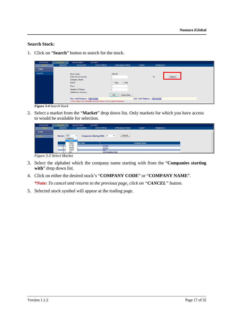#### **Search Stock:**

1. Click on "**Search**" button to search for the stock.

| <b>ATTENTION</b><br><b>TRADE</b> | <b>STOCKS</b><br><b>ORDERS</b> | <b>ONLINE HELP</b><br><b>ACCOUNTS</b>                                                                                                       | <b>LOG OUT</b><br><b>STATIC PRICE</b> | <b>STREAMING PRICE</b>                                                    | <b>CHART</b>                   | <b>RESEARCH</b> |        |
|----------------------------------|--------------------------------|---------------------------------------------------------------------------------------------------------------------------------------------|---------------------------------------|---------------------------------------------------------------------------|--------------------------------|-----------------|--------|
| Trade                            |                                |                                                                                                                                             |                                       |                                                                           |                                |                 |        |
| <b>Buy/Sell</b>                  |                                | <b>Client Code</b><br><b>Enter Stock Symbol</b><br><b>Company Name</b><br>Action<br>Price<br>Number of Shares<br><b>Settlement Currency</b> |                                       | : DM101<br>٠<br>$\sim$<br>$\therefore$ Buy<br>◯ Sell<br>Clear Order<br>OK |                                | Or              | Search |
|                                  |                                | <b>Buy Limit Balance: THB 49,000</b><br>Limits shown are estimates rounded down to the nearest thousand                                     |                                       |                                                                           | Sell Limit Balance: THB 50,000 |                 |        |

*Figure 3-4 Search Stock* 

2. Select a market from the "**Market**" drop down list. Only markets for which you have access to would be available for selection.

| <b>ATTENTION</b> | <b>STOCKS</b>  | <b>ONLINE HELP</b>      | <b>LOG OUT</b>                    |                        |                     |                 |  |
|------------------|----------------|-------------------------|-----------------------------------|------------------------|---------------------|-----------------|--|
| <b>TRADE</b>     | <b>ORDERS</b>  | <b>ACCOUNTS</b>         | <b>STATIC PRICE</b>               | <b>STREAMING PRICE</b> | <b>CHART</b>        | <b>RESEARCH</b> |  |
| Trade            |                |                         |                                   |                        |                     |                 |  |
|                  |                | $\cdot$                 |                                   | Cancel<br>$\cdot$      |                     |                 |  |
| <b>Buy/Sell</b>  | Market: SGX    |                         | <b>Companies Starting With: A</b> |                        |                     |                 |  |
|                  |                | $-Online-$              |                                   |                        |                     |                 |  |
|                  |                | <b>SGX</b>              |                                   |                        |                     |                 |  |
|                  |                | <b>HKEx</b><br>any Code |                                   |                        | <b>Company Name</b> |                 |  |
|                  |                | <b>NYSE</b>             | A-Sonic                           |                        |                     |                 |  |
|                  | $\sim$         | <b>NASD</b>             | AA Grp                            |                        |                     |                 |  |
|                  | $\overline{3}$ | <b>AMEX</b>             | AAT                               |                        |                     |                 |  |
|                  |                | <b>IDX</b>              | ABF SG BOND ETF@                  |                        |                     |                 |  |

*Figure 3-5 Select Market* 

- 3. Select the alphabet which the company name starting with from the "**Companies starting with**" drop down list.
- 4. Click on either the desired stock's "**COMPANY CODE**" or "**COMPANY NAME**".

*\*Note: To cancel and returns to the previous page, click on "CANCEL" button.*

5. Selected stock symbol will appear at the trading page.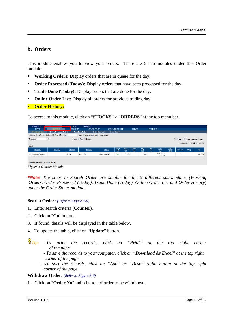#### **b. Orders**

This module enables you to view your orders. There are 5 sub-modules under this Order module:

- **Working Orders:** Display orders that are in queue for the day.
- **Order Processed (Today):** Display orders that have been processed for the day.
- **Trade Done (Today):** Display orders that are done for the day.
- **Online Order List:** Display all orders for previous trading day

#### **<u><b>-** Order History:</u>

To access to this module, click on "**STOCKS**" > "**ORDERS**" at the top menu bar.

| <b>ATTENTION</b>                                                                                 | <b>OTOQUO</b>                                                      | ONLINE HELP    | <b>LOG OUT</b>           |                          |                        |              |              |            |                 |                       |                    |            |            |                                   |
|--------------------------------------------------------------------------------------------------|--------------------------------------------------------------------|----------------|--------------------------|--------------------------|------------------------|--------------|--------------|------------|-----------------|-----------------------|--------------------|------------|------------|-----------------------------------|
| <b>TRADE</b>                                                                                     | ORDERS.                                                            | <b>CCOUNTS</b> | <b>STATIC PRICE</b>      |                          | <b>STREAMING PRICE</b> |              | <b>CHART</b> |            | <b>RESEARCH</b> |                       |                    |            |            |                                   |
| <b>All Working Orders</b>                                                                        | <b>Orders Processed(Today)</b>                                     |                | <b>Trade Done(Today)</b> | <b>Online Order List</b> | Order History          |              |              |            |                 |                       |                    |            |            |                                   |
| Update<br>Amend To Qty:<br><b>Withdraw Order</b><br><b>Order Amendment is only for SG Market</b> |                                                                    |                |                          |                          |                        |              |              |            |                 |                       |                    |            |            |                                   |
| Counter:                                                                                         | Go<br>ö<br>Sort: O Asc © Desc<br>Print <b>Le Download As Excel</b> |                |                          |                          |                        |              |              |            |                 |                       |                    |            |            |                                   |
|                                                                                                  |                                                                    |                |                          |                          |                        |              |              |            |                 |                       |                    |            |            | Last updated: 08/05/2012 11.29 AM |
| <b>SGX</b>                                                                                       |                                                                    |                |                          |                          |                        |              |              |            |                 |                       |                    |            |            |                                   |
| Order No                                                                                         | Order ID                                                           | Symbol         | Security                 | <b>Status</b>            | Buy/<br><b>Sell</b>    | Price<br>(S) | Price<br>(E) | Qty<br>(S) | Qty<br>(E)      | <b>Time</b><br>(S)    | <b>Time</b><br>(R) | Set Cur    | <b>Msg</b> | By                                |
| 120508000788608A                                                                                 |                                                                    | <b>GIP.SG</b>  | <b>Genting SP</b>        | <b>Order Received</b>    | Buy                    | 1.725        |              | 1,000      |                 | May 8 2012<br>11:27AM |                    | <b>SGD</b> |            | 00005YY                           |
|                                                                                                  |                                                                    |                |                          |                          |                        |              |              |            |                 |                       |                    |            |            |                                   |
| Time Displayed is based on GMT+8                                                                 |                                                                    |                |                          |                          |                        |              |              |            |                 |                       |                    |            |            |                                   |
| <b>Figure 3-6 Order Module</b>                                                                   |                                                                    |                |                          |                          |                        |              |              |            |                 |                       |                    |            |            |                                   |

*Figure 3-6 Order Module* 

*\*Note: The steps to Search Order are similar for the 5 different sub-modules (Working Orders*, *Order Processed (Today)*, *Trade Done (Today)*, *Online Order List and Order History*) *under the Order Status module.* 

#### **Search Order:** *(Refer to Figure 3-6)*

- 1. Enter search criteria (**Counter**).
- 2. Click on "**Go**' button.
- 3. If found, details will be displayed in the table below.
- 4. To update the table, click on "**Update**" button.

*Tip: -To print the records, click on "Print" at the top right corner of the page.* 

- *To save the records to your computer, click on "Download As Excel" at the top right corner of the page.*
- *To sort the records, click on "Asc" or "Desc" radio button at the top right corner of the page.*

#### **Withdraw Order:** *(Refer to Figure 3-6)*

1. Click on "**Order No**" radio button of order to be withdrawn.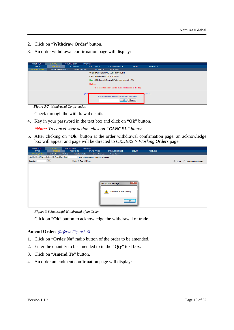- 2. Click on "**Withdraw Order**' button.
- 3. An order withdrawal confirmation page will display:

| <b>ATTENTION</b>   | <b>STOCKS</b>           | <b>ONLINE HELP</b>       | LOG OUT                       |                                                                                                                                                   |              |                 |  |
|--------------------|-------------------------|--------------------------|-------------------------------|---------------------------------------------------------------------------------------------------------------------------------------------------|--------------|-----------------|--|
| <b>TRADE</b>       | <b>ORDERS</b>           | <b>ACCOUNTS</b>          | <b>STATIC PRICE</b>           | <b>STREAMING PRICE</b>                                                                                                                            | <b>CHART</b> | <b>RESEARCH</b> |  |
| All Working Orders | Orders Processed(Today) | <b>Trade Done(Today)</b> | <b>Online Order List</b>      | <b>Order History</b>                                                                                                                              |              |                 |  |
|                    |                         |                          |                               | <b>ORDER WITHDRAWAL CONFIRMATION:</b>                                                                                                             |              |                 |  |
|                    |                         |                          | Client Code/Name: DM101/DM101 |                                                                                                                                                   |              |                 |  |
|                    |                         |                          |                               | Buy 1,000 share of Genting SP at a limit price of 1.725                                                                                           |              |                 |  |
|                    |                         |                          | Notice:                       |                                                                                                                                                   |              |                 |  |
|                    |                         |                          |                               | All unexecuted orders will be deleted at the end of the day.                                                                                      |              |                 |  |
|                    |                         |                          | [ Not                         | <u> Existen fundument und euerniedien maß dame deminister abdeve einer et</u><br>Enter your password to confirm and submit the order above.<br>Ok | Cancel       | v once. 1       |  |

 *Figure 3-7 Withdrawal Confirmation* 

Check through the withdrawal details.

4. Key in your password in the text box and click on "**Ok**" button.

*\*Note: To cancel your action, click on "CANCEL" button.*

5. After clicking on "**Ok**" button at the order withdrawal confirmation page, an acknowledge box will appear and page will be directed to *ORDERS > Working Orders* page:

| <b>ATTENTION</b> |                    | <b>STOCKS</b>           | <b>ONLINE HELP</b> |                          | <b>LOG OUT</b>                        |                              |              |                 |                                |
|------------------|--------------------|-------------------------|--------------------|--------------------------|---------------------------------------|------------------------------|--------------|-----------------|--------------------------------|
|                  | TRADE              | ORDERS                  |                    | <b>ACCOUNTS</b>          | <b>STATIC PRICE</b>                   | <b>STREAMING PRICE</b>       | <b>CHART</b> | <b>RESEARCH</b> |                                |
|                  | All Working Orders | Orders Processed(Today) |                    | <b>Trade Done(Today)</b> | Online Order List                     | Order History                |              |                 |                                |
| Update           | Withdraw Order     | Amend To Qty:           |                    |                          | Order Amendment is only for SG Market |                              |              |                 |                                |
| <b>Counter:</b>  |                    | Go                      |                    | Sort: © Asc © Desc       |                                       |                              |              |                 | <b>Print</b> Download As Excel |
|                  |                    |                         |                    |                          |                                       |                              |              |                 |                                |
|                  |                    |                         |                    |                          |                                       |                              |              |                 |                                |
|                  |                    |                         |                    |                          |                                       |                              |              |                 |                                |
|                  |                    |                         |                    |                          |                                       | Message from webpage         | $\mathbf{x}$ |                 |                                |
|                  |                    |                         |                    |                          |                                       | Withdrawal of order pending. |              |                 |                                |
|                  |                    |                         |                    |                          |                                       | 4                            |              |                 |                                |
|                  |                    |                         |                    |                          |                                       |                              | OK           |                 |                                |
|                  |                    |                         |                    |                          |                                       |                              |              |                 |                                |

*Figure 3-8 Successful Withdrawal of an Order* 

Click on "**Ok**" button to acknowledge the withdrawal of trade.

#### **Amend Order:** *(Refer to Figure 3-6)*

- 1. Click on "**Order No**" radio button of the order to be amended.
- 2. Enter the quantity to be amended to in the "**Qty**" text box.
- 3. Click on "**Amend To**" button.
- 4. An order amendment confirmation page will display: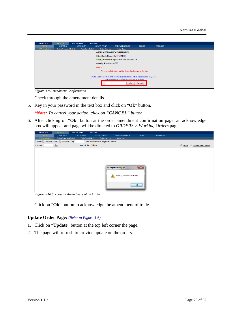| <b>ATTENTION</b>   | <b>STOCKS</b>           | <b>ONLINE HELP</b>       | <b>LOG OUT</b>                |                                                                                     |              |                 |  |
|--------------------|-------------------------|--------------------------|-------------------------------|-------------------------------------------------------------------------------------|--------------|-----------------|--|
| <b>TRADE</b>       | <b>ORDERS</b>           | <b>ACCOUNTS</b>          | <b>STATIC PRICE</b>           | <b>STREAMING PRICE</b>                                                              | <b>CHART</b> | <b>RESEARCH</b> |  |
| All Working Orders | Orders Processed(Today) | <b>Trade Done(Today)</b> | <b>Online Order List</b>      | Order History                                                                       |              |                 |  |
|                    |                         |                          |                               | <b>ORDER AMENDMENT CONFIRMATION:</b>                                                |              |                 |  |
|                    |                         |                          | Client Code/Name: DM101/DM101 |                                                                                     |              |                 |  |
|                    |                         |                          |                               | Buy 5,000 share of TigerAir at a limit price of 0.69                                |              |                 |  |
|                    |                         |                          | Quantity Amended to 4000      |                                                                                     |              |                 |  |
|                    |                         |                          | Notice:                       |                                                                                     |              |                 |  |
|                    |                         |                          |                               | All unexecuted orders will be deleted at the end of the day.                        |              |                 |  |
|                    |                         |                          |                               | [ Notel Order validation and submission may take a while. Please click only once. ] |              |                 |  |
|                    |                         |                          |                               | Enter your password to confirm and submit the order above.                          |              |                 |  |
|                    |                         |                          |                               | Ok                                                                                  | Cancel       |                 |  |
|                    |                         |                          |                               |                                                                                     |              |                 |  |

 *Figure 3-9 Amendment Confirmation* 

Check through the amendment details.

5. Key in your password in the text box and click on "**Ok**" button.

*\*Note: To cancel your action, click on "CANCEL" button.* 

6. After clicking on "**Ok**" button at the order amendment confirmation page, an acknowledge box will appear and page will be directed to *ORDERS > Working Orders* page:



 *Figure 3-10 Successful Amendment of an Order* 

Click on "**Ok**" button to acknowledge the amendment of trade

#### **Update Order Page:** *(Refer to Figure 3-6)*

- 1. Click on "**Update**" button at the top left corner the page.
- 2. The page will refresh to provide update on the orders.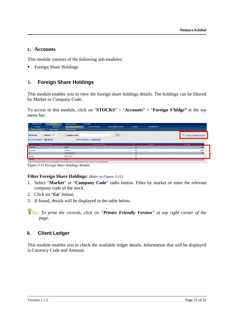#### **c. Accounts**

This module consists of the following sub-modules:

■ Foreign Share Holdings

### **i. Foreign Share Holdings**

This module enables you to view the foreign share holdings details. The holdings can be filtered by Market or Company Code.

To access to this module, click on "**STOCKS**" > "**Accounts**" > "**Foreign S'hldgs"** at the top menu bar.



*Figure 3-11 Foreign Share Holdings Module* 

#### **Filter Foreign Share Holdings:** *(Refer to Figure 3-11)*

- 1. Select "**Market**" or "**Company Code**" radio button. Filter by market or enter the relevant company code of the stock.
- 2. Click on "**Go**' button.
- 3. If found, details will be displayed in the table below.

*Tip: To print the records, click on "Printer Friendly Version" at top right corner of the page.*

### **ii. Client Ledger**

This module enables you to check the available ledger details. Information that will be displayed is Currency Code and Amount.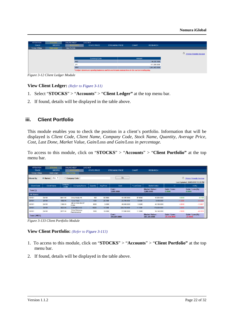| <b>ATTENTION</b>       | <b>STOCKS</b> | <b>ONLINE HELP</b>      | <b>LOG OUT</b>                                                                                 |                        |              |                 |                                      |
|------------------------|---------------|-------------------------|------------------------------------------------------------------------------------------------|------------------------|--------------|-----------------|--------------------------------------|
| <b>TRADE</b>           | <b>ORDERS</b> | <b>ACCOUNTS</b>         | <b>STATIC PRICE</b>                                                                            | <b>STREAMING PRICE</b> | <b>CHART</b> | <b>RESEARCH</b> |                                      |
| <b>Foreign S'hidgs</b> | Client Ledger | <b>Client Portfolio</b> |                                                                                                |                        |              |                 |                                      |
|                        |               |                         |                                                                                                |                        |              |                 | ô<br><b>Printer Friendly Version</b> |
|                        |               |                         | <b>Currency Code</b>                                                                           |                        | Amount       |                 |                                      |
|                        |               | <b>HKD</b>              |                                                                                                |                        |              | 46.429.1600     |                                      |
|                        |               | JPY                     |                                                                                                |                        |              | 411,500.0000    |                                      |
|                        |               | <b>KRW</b>              |                                                                                                |                        |              | 1,841,403.0000  |                                      |
|                        |               |                         | *Ledger shown are opening balances and do not include transactions in the current trading day. |                        |              |                 |                                      |

*Figure 3-12 Client Ledger Module* 

#### **View Client Ledger:** *(Refer to Figure 3-11)*

- 1. Select "**STOCKS**" > "**Accounts**" > "**Client Ledger"** at the top menu bar.
- 2. If found, details will be displayed in the table above.

#### **iii. Client Portfolio**

This module enables you to check the position in a client's portfolio. Information that will be displayed is *Client Code, Client Name, Company Code, Stock Name, Quantity, Average Price, Cost, Last Done, Market Value, Gain/Loss and Gain/Loss in percentage.*

To access to this module, click on "**STOCKS**" > "**Accounts**" > "**Client Portfolio"** at the top menu bar.

| <b>ATTENTION</b><br><b>TRADE</b><br><b>Foreign S'hidgs</b> | <b>STOCKS</b><br><b>ORDERS</b><br><b>Client Ledger</b> |                        | <b>ONLINE HELP</b><br><b>LOG OUT</b><br><b>ACCOUNTS</b><br><b>Client Portfolio</b> | <b>STATIC PRICE</b> |           | <b>STREAMING PRICE</b> | <b>CHART</b> | <b>RESEARCH</b>                      |                              |                                                 |
|------------------------------------------------------------|--------------------------------------------------------|------------------------|------------------------------------------------------------------------------------|---------------------|-----------|------------------------|--------------|--------------------------------------|------------------------------|-------------------------------------------------|
| <b>Filtered By:</b>                                        | O Market: ALL v                                        |                        | Company Code:                                                                      |                     |           | Go                     |              |                                      | ö                            | <b>Printer Friendly Version</b>                 |
| <b>Client Code</b>                                         | <b>Client Name</b>                                     | <b>Company</b><br>Code | <b>Company Name</b>                                                                | Quantity            | Avg Price | Cost                   | * Last Done  | <b>Market Value</b>                  | $+/-$                        | Last Updated: 08/05/2012 12.20 PM<br>$+1-(%)$   |
| Total ()                                                   |                                                        |                        |                                                                                    |                     |           | Cost:<br>3,888,0000    |              | <b>Market Value:</b><br>3,888.0000   | Gain / Loss:<br>0.0000       | Gain / Loss (%) :<br>$\blacktriangle$<br>0.0000 |
| <b>HK Market</b>                                           |                                                        |                        |                                                                                    |                     |           |                        |              |                                      |                              |                                                 |
| <b>DM101</b>                                               | <b>DM101</b>                                           | 0941.HK                | China Mobile HK                                                                    | 500                 | 80.8500   | 40.425.0000            | 87.6500      | 43,825.0000                          | 6.8000                       | 8.4106                                          |
| <b>DM101</b>                                               | <b>DM101</b>                                           | 1068.HK                | <b>Yurun Food</b>                                                                  | 1000                | 20.7000   | 20,700,0000            | 9,4000       | 9,400,0000                           | $-11,3000$                   | $-54.5894$                                      |
| <b>DM101</b>                                               | <b>DM101</b>                                           | 1398.HK                | <b>IND &amp; COMM BK OF</b><br><b>CHINA</b>                                        | 8000                | 5.8300    | 46,640.0000            | 5.0200       | 40,160.0000                          | $-0.8100$                    | $-13.8937$                                      |
| <b>DM101</b>                                               | <b>DM101</b>                                           | 2823.HK                | X ISHARES A50                                                                      | 16200               | 14.1800   | 229,716.0000           | 11.1000      | 179,820.0000                         | $-3.0800$                    | $-21.7207$                                      |
| <b>DM101</b>                                               | <b>DM101</b>                                           | 2877.HK                | <b>China Shineway</b><br>Pharmaceutical                                            | 3000                | 19,0000   | 57,000.0000            | 11.3800      | 34,140.0000                          | $-7.6200$                    | $-40.1053$                                      |
| Total (HKD)                                                |                                                        |                        |                                                                                    |                     |           | Cost:<br>394 481 0000  |              | <b>Market Value:</b><br>307 345 0000 | Gain / Loss:<br>-87 136 0000 | Gain / Loss (%) :<br>$-2200888$                 |

*Figure 3-133 Client Portfolio Module* 

#### **View Client Portfolio:** *(Refer to Figure 3-113)*

- 1. To access to this module, click on "**STOCKS**" > "**Accounts**" > "**Client Portfolio"** at the top menu bar.
- 2. If found, details will be displayed in the table above.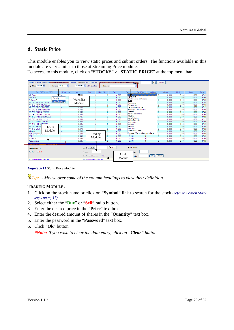### **d. Static Price**

This module enables you to view static prices and submit orders. The functions available in this module are very similar to those at Streaming Price module.

To access to this module, click on "**STOCKS**" > "**STATIC PRICE**" at the top menu bar.

| SGX KLSE SEHK NYSE NASD AMEX World Indices |               |                   | <b>Bonds</b>              |                                 |                | Update<br>GO<br>Stocks ABCDEFGHIJKLMNOPORSTUVWXYZOthers<br>Count |                                        |                                  |              |       |             |       |       |
|--------------------------------------------|---------------|-------------------|---------------------------|---------------------------------|----------------|------------------------------------------------------------------|----------------------------------------|----------------------------------|--------------|-------|-------------|-------|-------|
| Top 20s : Volume                           | Market: Ready |                   | -Watchlist- v Edit Quotes |                                 | Sectors: $-$   |                                                                  |                                        |                                  |              |       |             |       |       |
|                                            |               |                   |                           |                                 |                |                                                                  |                                        |                                  |              |       |             |       |       |
| Top 20 Volume (SG)                         |               | Rem<br><b>A</b>   | Last                      | Chg                             | BVol (K)       | Buy                                                              | Sell                                   | SVol (K)<br>Vol (K)              |              | Open  | <b>High</b> | Low   | Time  |
| AA Gross                                   |               | <b>Head</b>       | 0060                      |                                 | $\mathbf{0}$   | 0.000                                                            |                                        |                                  | $\mathbf{0}$ | 0.000 | 0.000       | 0.000 | 07:55 |
| AnnAiko <sup>*</sup>                       | Ready         |                   |                           |                                 | $\overline{0}$ | 0.000                                                            | Agriculture<br>Bonds, Loans & Warrants |                                  | $\mathbf{0}$ | 0.000 | 0.000       | 0.000 | 07:55 |
| A-Sonice <sup>d</sup>                      |               | <b>Unit Share</b> | Watchlist                 |                                 | $\mathbf{0}$   | 0.000                                                            | CLOB                                   |                                  | $\mathbf{0}$ | 0.000 | 0.000       | 0.000 | 07:55 |
| AA ZPC RICIAGR110228                       |               |                   | Module                    |                                 | $\mathbf{0}$   | 0.000                                                            | Commerce                               |                                  | $\mathbf{0}$ | 0.000 | 0.000       | 0.000 | 07:55 |
| AA ZPC ASIAPRO100728                       |               | $\overline{a}$    |                           | ٠                               | $\mathbf{0}$   | 0.000                                                            | Construction                           |                                  | 0            | 0.000 | 0.000       | 0.000 | 07:55 |
| AA ZPC BRICIFR110223                       |               | <b>Lesson</b>     | 0.995                     |                                 | $\mathbf{0}$   | 0.000                                                            | Electricity/Gas/Water                  |                                  | $\bf{0}$     | 0.000 | 0.000       | 0.000 | 07:55 |
| AA ZPC B-SHENZ100716                       |               | <b></b>           | 0.785                     |                                 | $\mathbf{0}$   | 0.000                                                            | <b>Exchange Traded Funds</b>           |                                  | $\mathbf{0}$ | 0.000 | 0.000       | 0.000 | 07:55 |
| AA ZPC RICIENH110228                       |               | ---               | 0.680                     |                                 | $\mathbf{0}$   | 0.000                                                            | Finance                                |                                  | $\mathbf{0}$ | 0.000 | 0.000       | 0.000 | 07:55 |
| AA ZPC EURSTOX100708                       |               | $\overline{a}$    | 0.620                     |                                 | $\mathbf{0}$   | 0.000                                                            | Hotels/Restaurants<br>Industry         |                                  | n            | 0.000 | 0.000       | 0.000 | 07:55 |
| AA ZPC FARMERS110223                       |               | <b>Security</b>   | 0.785                     | ÷.                              | $\mathbf{0}$   | 0.000                                                            | Manufacturing                          |                                  | $\mathbf{0}$ | 0.000 | 0.000       | 0.000 | 07:55 |
| AA ZPC KOSPI110223                         |               | ---               | 0.000                     |                                 | $\mathbf{0}$   | 0.000                                                            | Mining/Quarrying                       |                                  | $\mathbf{0}$ | 0.000 | 0.000       | 0.000 | 07:55 |
| AA ZPC MINING100708                        |               | ---               | 0.800                     |                                 | $\mathbf{0}$   | 0.000                                                            | Multi Industry                         |                                  | $\mathbf{0}$ | 0.000 | 0.000       | 0.000 | 07:55 |
| AA ZPC NIKKE <sup>1400744</sup>            |               | ---               | 0.635                     |                                 | $\theta$       | 0.000                                                            | Property                               |                                  | 0            | 0.000 | 0.000       | 0.000 | 07:55 |
| AA ZPC SHIPP                               | Orders        | $-$               | 0.420                     | u.                              | $\mathbf{0}$   | 0.000                                                            | Services                               |                                  | $\bf{0}$     | 0.000 | 0.000       | 0.000 | 07:55 |
| AA ZPC VIETN                               |               | $\overline{a}$    | 0.370                     |                                 | $\mathbf{0}$   | 0.000                                                            | <b>SESDAO</b>                          |                                  | 0            | 0.000 | 0.000       | 0.000 | 07:55 |
| Albedo <sup>or</sup>                       | Module        | $\sim$            | 0.060                     |                                 | $\mathbf{0}$   | 0.000                                                            | <b>Straits Times Index</b>             | Transport/Storage/Communications | $\mathbf{0}$ | 0.000 | 0.000       | 0.000 | 07:55 |
| ABF SG BOND                                |               | ---               | 1.090                     | Trading                         | $\mathbf{0}$   | 0.000                                                            |                                        |                                  | $\mathbf{0}$ | 0.000 | 0.000       | 0.000 | 07:55 |
| ABR <sup>od</sup>                          |               | ---               | 0.440                     | Module                          | $\overline{0}$ | 0.000                                                            | 0.000                                  | $\Omega$                         | $\mathbf{0}$ | 0.000 | 0.000       | 0.000 | 07:55 |
| Achieva«                                   |               | ---               | 0.090                     |                                 | $\mathbf{0}$   | 0.000                                                            | 0.000                                  | $\mathbf{0}$                     | 0            | 0.000 | 0.000       | 0.000 | 07:55 |
|                                            |               |                   | 0.085                     |                                 |                | 0.000                                                            | 0.000                                  | $\mathbf{0}$                     | $\mathbf{0}$ | 0.000 | 0.000       | 0.000 | 07:55 |
| <b>Working   Drocessed   Trade Dong</b>    |               |                   |                           |                                 |                |                                                                  |                                        |                                  |              |       |             |       |       |
| <b>Client Code: 1</b>                      |               |                   |                           | <b>Stock Symbol:</b>            |                | Search                                                           | <b>Stock Name:</b>                     |                                  |              |       |             |       |       |
| $O$ Buy $O$ Sell                           |               |                   | Price:                    |                                 |                |                                                                  | ty:                                    |                                  |              |       |             |       |       |
|                                            |               |                   |                           | <b>Settlement Currency: MYR</b> |                |                                                                  | Limit                                  | $\sqrt{a}$                       | Clear        |       |             |       |       |
|                                            |               |                   |                           |                                 |                |                                                                  | brd:<br>Module                         |                                  |              |       |             |       |       |
| Buy Limit Balance: MYR 0                   |               |                   |                           | Sell Limit Balance : MYR 0      |                |                                                                  |                                        |                                  |              |       |             |       |       |

*Figure 3-11 Static Price Module* 

*Tip: - Mouse over some of the column headings to view their definition.* 

#### **TRADING MODULE:**

- 1. Click on the stock name or click on "**Symbol**" link to search for the stock *(refer to Search Stock steps on pg 17)*
- 2. Select either the "**Buy**" or "**Sell**" radio button.
- 3. Enter the desired price in the "**Price**" text box.
- 4. Enter the desired amount of shares in the "**Quantity**" text box.
- 5. Enter the password in the "**Password**" text box.
- 6. Click "**Ok**" button

*\*Note: If you wish to clear the data entry, click on "Clear" button.*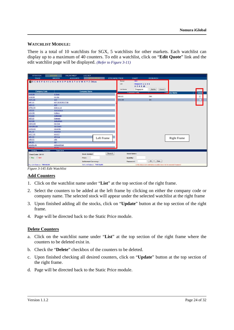#### **WATCHLIST MODULE:**

There is a total of 10 watchlists for SGX, 5 watchlists for other markets. Each watchlist can display up to a maximum of 40 counters. To edit a watchlist, click on "**Edit Quote**" link and the edit watchlist page will be displayed. *(Refer to Figure 3-11)*

| <b>ATTENTION</b>              | <b>ONLINE HELP</b><br><b>STOCKS</b>     | <b>LOG OUT</b>                 |                        |                                    |                                                          |                                                                 |                    |               |
|-------------------------------|-----------------------------------------|--------------------------------|------------------------|------------------------------------|----------------------------------------------------------|-----------------------------------------------------------------|--------------------|---------------|
| <b>TRADE</b>                  | <b>ORDERS</b><br><b>ACCOUNTS</b>        | <b>STATIC PRICE</b>            | <b>STREAMING PRICE</b> |                                    | <b>CHART</b>                                             | <b>RESEARCH</b>                                                 |                    |               |
|                               | <b>NBCDEFGHIJKLMNOPQRSTUVWXYZOthers</b> |                                |                        | Market<br>List<br><b>List Name</b> | <b>SGX</b><br>: Singapore 2 3 4 5<br>678910<br>Singapore | Update<br>Cancel                                                |                    |               |
| <b>Company Code</b>           |                                         | <b>Company Name</b>            |                        |                                    | Company Code                                             |                                                                 | Com jany Name      | <b>Delete</b> |
| AAS.SG                        | A-Sonic                                 |                                |                        |                                    |                                                          |                                                                 |                    |               |
| AAG.SG                        | AA Grp                                  |                                |                        | DBS.SG                             |                                                          | <b>DBS</b>                                                      |                    |               |
| AUTC.SG                       | <b>AAT</b>                              |                                |                        | SIAA.SG                            |                                                          | <b>SIA</b>                                                      |                    | $\Box$        |
| ABF.SG                        | ABF SG BOND ETF@                        |                                |                        |                                    |                                                          |                                                                 |                    |               |
| ABR.SG                        | <b>ABR</b>                              |                                |                        |                                    |                                                          |                                                                 |                    |               |
| ATRA.SG                       | Abterra Ltd                             |                                |                        |                                    |                                                          |                                                                 |                    |               |
| ACE.SG                        | Ace Achieve                             |                                |                        |                                    |                                                          |                                                                 |                    |               |
| ACA.SG                        | Achieva                                 |                                |                        |                                    |                                                          |                                                                 |                    |               |
| ATA.SG                        | ActionAsia                              |                                |                        |                                    |                                                          |                                                                 |                    |               |
| ADP.SG                        | Adampak                                 |                                |                        |                                    |                                                          |                                                                 |                    |               |
| AVT.SG                        | AddvalTech                              |                                |                        |                                    |                                                          |                                                                 |                    |               |
| ASAC.SG                       | Adv Sys                                 |                                |                        |                                    |                                                          |                                                                 |                    |               |
| ASACRA.SG                     | Adv Sys R                               |                                |                        |                                    |                                                          |                                                                 |                    |               |
| AVHS.SG                       | AdvaHldg                                |                                |                        |                                    |                                                          |                                                                 |                    |               |
| AHL.SG                        | Adventus                                |                                |                        |                                    |                                                          |                                                                 |                    |               |
| ASCT.SG                       | AdvSCT                                  |                                |                        |                                    |                                                          |                                                                 |                    |               |
| AEC.SG                        | <b>AEI Corp</b>                         | Left Frame                     |                        |                                    |                                                          |                                                                 | <b>Right Frame</b> |               |
| AEM.SG                        | AEM                                     |                                |                        |                                    |                                                          |                                                                 |                    |               |
| AIM.SG                        | $\triangle M$                           |                                |                        |                                    |                                                          |                                                                 |                    |               |
| <b>AACIRC.SG</b>              | <b>AIMSAMPI Reit</b>                    |                                |                        |                                    |                                                          |                                                                 |                    |               |
| ABD.SG                        | Albedo                                  |                                |                        |                                    |                                                          |                                                                 |                    |               |
| Processed<br>Working          | <b>Trade Done</b>                       |                                |                        |                                    |                                                          |                                                                 |                    |               |
| Client Code: DM101            |                                         | <b>Stock Symbol:</b>           | Search                 |                                    | <b>Stock Name:</b>                                       |                                                                 |                    |               |
| <b>Buy Sell</b>               |                                         | Price:                         |                        | <b>Quantity:</b>                   |                                                          |                                                                 |                    |               |
|                               |                                         | <b>Settlement Currency:</b>    |                        | Password:                          |                                                          | OK<br>Clear                                                     |                    |               |
| Buy Limit Balance: THB 49,000 |                                         | Sell Limit Balance: THB 50,000 |                        |                                    |                                                          | Limits shown are estimates rounded down to the nearest thousand |                    |               |

*Figure 3-145 Edit Watchlist* 

#### **Add Counters**

- 1. Click on the watchlist name under "**List**" at the top section of the right frame.
- 2. Select the counters to be added at the left frame by clicking on either the company code or company name. The selected stock will appear under the selected watchlist at the right frame
- 3. Upon finished adding all the stocks, click on "**Update**" button at the top section of the right frame.
- 4. Page will be directed back to the Static Price module.

#### **Delete Counters**

- a. Click on the watchlist name under "**List**" at the top section of the right frame where the counters to be deleted exist in.
- b. Check the "**Delete**" checkbox of the counters to be deleted.
- c. Upon finished checking all desired counters, click on "**Update**" button at the top section of the right frame.
- d. Page will be directed back to the Static Price module.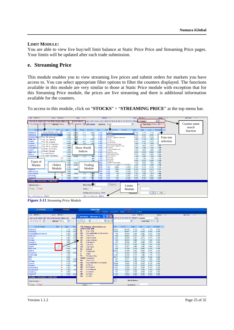#### **LIMIT MODULE:**

You are able to view live buy/sell limit balance at Static Price Price and Streaming Price pages. Your limits will be updated after each trade submission.

#### **e. Streaming Price**

This module enables you to view streaming live prices and submit orders for markets you have access to. You can select appropriate filter options to filter the counters displayed. The functions available in this module are very similar to those at Static Price module with exception that for this Streaming Price module, the prices are live streaming and there is additional information available for the counters.

To access to this module, click on "**STOCKS**" > "**STREAMING PRICE**" at the top menu bar.

| STI: 2879.23 (-)                         |               |                    | KLCI: 1260.83 (-)    |      |                |                      | * H SI: $\cdots$ (-)     |                                 |                | * NIKKEI: (-)               |                                                   |                                                             | DJIA: 9793.52 (-) |                |                            | NASD: ---- (-)  | S&P 500: ---- (-) |  |
|------------------------------------------|---------------|--------------------|----------------------|------|----------------|----------------------|--------------------------|---------------------------------|----------------|-----------------------------|---------------------------------------------------|-------------------------------------------------------------|-------------------|----------------|----------------------------|-----------------|-------------------|--|
| SGX KLSE SEHK SETTISE NYSE NASD AMEX LSH |               |                    |                      |      |                | <b>Norld Indices</b> |                          |                                 |                |                             |                                                   | ABCDEFGHIJKLMNOPQRS1S2TUVWXYZOther <mark>i</mark> s Counter |                   |                |                            | GO <sub>1</sub> |                   |  |
|                                          |               |                    | <b>Market: Ready</b> |      |                |                      | vatomate                 | Edit Quotes                     |                | Sectors: - Sector-          |                                                   |                                                             | $\checkmark$      |                | <b>FOILL SIZE: MOUNTLE</b> |                 | Counter name      |  |
|                                          |               |                    |                      |      |                |                      |                          |                                 |                |                             |                                                   |                                                             |                   |                |                            |                 | search            |  |
|                                          | Top 30 Volume |                    | Rem<br>II A          | Last |                | Ch                   | %Chq                     | BVol (K)                        | Buy            | Sell SVol (K)               |                                                   | Vol(K)                                                      | Open              | High           | Low                        | PrvClose        |                   |  |
|                                          |               | -More Market Info- |                      |      |                |                      |                          |                                 |                | -Sector-                    |                                                   |                                                             | $\vee$            |                |                            |                 | function          |  |
| Genting SP<br>GoldenAar                  |               | -More Market Info- |                      |      | 1,170<br>0.530 | $+0.020$<br>$+0.010$ | $+1.7$<br>$+1.9$         | 2,559<br>352                    | 1,170<br>0.525 | -Sector-                    |                                                   |                                                             | .130<br>0.510     | 1.170<br>0.530 | 1.120<br>0.505             | 1.15            |                   |  |
| HSI20000MBLeC/ Top 30 Volume             |               |                    |                      |      | 0.295          | $-0.005$             | $-1.7$                   | 35                              | 0.280          | Agriculture                 |                                                   |                                                             | 0.255             | 0.295          | 0.240                      |                 |                   |  |
| Noble Grp                                |               | Top 30 Gainers     |                      |      | 1.710          | $-0.020$             | $-1.2$                   | 2,275                           | 1.700          | 1 CLOB                      | 4 Bonds, Loans & Warrants                         |                                                             | 1.670             | 1.740          | 1.670                      | Font size       |                   |  |
| Z-Obee                                   |               | Top 30 Losers      |                      |      | 0.410          | $+0.025$             | $+6.5$                   | 1.158                           | 0.405          | Commerce                    |                                                   |                                                             | 0.370             | 0.415          | 0.370                      | selection       |                   |  |
| K-Green                                  |               | Top 30 % Gainers   |                      |      | 1.050          | $-0.60$              | $-5.4$                   | 646                             | 1.050          |                             | Construction<br>Electricity/Gas/Water             |                                                             | 1.060             | 1,110          | 1.040                      |                 |                   |  |
| Capitaland                               |               | Top 30 % Losers    |                      |      | 3.600          |                      |                          |                                 | 3,600          |                             | <b>Exchange Traded Funds</b>                      |                                                             | 3.570             | 3.640          | 3.570                      | 3,660           |                   |  |
| Yangzijiang                              |               | Market Summary     |                      |      | 1.350          |                      | Show World               |                                 | 1.340          | Finance                     | Hotels/Restaurants                                |                                                             | 1.330             | 1.360          | 1.320                      | 1.350           |                   |  |
| SingTel<br><b>BakerTech</b>              |               | Market Indices     |                      |      | 3.040<br>0.440 |                      | Indices                  |                                 | 3.030<br>0.440 | Industry                    |                                                   |                                                             | 2.990<br>0.430    | 3.040<br>0.450 | 2.980<br>0.425             | 3.040<br>0.435  |                   |  |
| <b>Abterra</b>                           |               | Lowest Done        |                      |      | 0.045          |                      |                          |                                 | 0.045          |                             | <b>Manufacturing</b><br><b>C</b> Mining/Quarrying |                                                             | 0.045             | 0.050          | 0.045                      | 0.045           |                   |  |
| CoscoCorp -                              |               | Lowest Warrants    |                      |      | 1.490          | $+0.020$             | $+1.4$                   | 660                             | 1.480          |                             | Multi Industry                                    |                                                             | 1.430             | 1.500          | 1.430                      | 1.470           |                   |  |
|                                          |               |                    | ٠                    |      | 1.220          | ×.                   | $\overline{\phantom{a}}$ | 484                             | 1.220          | Property<br><b>Services</b> |                                                   |                                                             | 1.210             | 1.240          | 1.190                      | 1.220           |                   |  |
|                                          |               |                    |                      |      | 0.220          |                      |                          | 704                             | 0.215          | <b>USESDAQ</b>              |                                                   |                                                             | 0.210             | 0.220          | 0.205                      | 0.220           |                   |  |
| Types of                                 |               |                    |                      |      | 2.000          | $+0.020$             |                          |                                 | .000           |                             | <b>2 Straits Times Index</b>                      |                                                             | 1.930             | 2.010          | 1.930                      | 1.980           |                   |  |
| Market                                   |               |                    | Orders               |      | 3.290          | $+0.040$             |                          | Trading                         | .290           |                             |                                                   | Transport/Storage/Communications                            | 3.200             | 3.330          | 3.200                      | 3.250           |                   |  |
|                                          |               |                    | Module               |      | 0.105          | $-0.005$             |                          | Module                          | .100<br>.310   | 0.105                       | 6,669                                             | 13,978                                                      | 0.105             | 0.105          | 0.100                      | 0.105           |                   |  |
| <b>Oceanus</b><br>UtdEnvirotech          |               |                    |                      |      | 0.310<br>0.380 |                      |                          |                                 | .380           | 0.315<br>0.385              | 1,625<br>1,001                                    | 13,830<br>12,936                                            | 0.310<br>0.375    | 0.320<br>0.385 | 0.310<br>0.375             | 0.315<br>0.380  |                   |  |
| Ascendasreit                             |               |                    | ٠                    |      | 1.820          | $-0.040$             | $-2.2$                   | 1,008                           | 1.820          | 1,830                       | 146                                               | 12,909                                                      | 1.820             | 1,850          | 1.810                      | 1,860           |                   |  |
| Armstrong                                |               |                    | ٠                    |      | 0.440          |                      |                          | 2,312                           | 0.435          | 0.440                       | 351                                               | 12,441                                                      | 0.430             | 0.450          | 0.430                      | 0.440           |                   |  |
| ChinaAniH                                |               |                    |                      |      | 0.300          | $+0.010$             | $+3.4$                   | 1,011                           | 0.300          | 0.305                       | 1.785                                             | 12,002                                                      | 0.280             | 0.300          | 0.280                      | 0.290           |                   |  |
| Working   Processed   Trade Done         |               |                    |                      |      | o ono.         | 0.0000               | $-4.5$                   |                                 | o ono          | o one.                      | 700                                               | AA GOO                                                      | 0.222             | o one          | o oon                      | o oon           |                   |  |
|                                          |               |                    |                      |      |                |                      |                          |                                 |                |                             |                                                   |                                                             |                   |                |                            |                 |                   |  |
| <b>Client Code: 1</b>                    |               |                    |                      |      |                |                      |                          | <b>Stock Symbol:</b>            |                |                             | Search                                            | Limits                                                      |                   |                |                            |                 |                   |  |
| $O$ Buy $O$ Sell                         |               |                    |                      |      |                |                      | Price:                   |                                 |                |                             |                                                   |                                                             |                   |                |                            |                 |                   |  |
|                                          |               |                    |                      |      |                |                      |                          |                                 |                |                             |                                                   | Module                                                      |                   |                |                            |                 |                   |  |
|                                          |               |                    |                      |      |                |                      |                          | <b>Settlement Currency: MYR</b> |                |                             |                                                   |                                                             | Password:         |                | <b>OK</b>                  | Clear           |                   |  |
| Buy Limit Balance: MYRO                  |               |                    |                      |      |                |                      |                          | Sell Limit Balance: MYRO        |                |                             |                                                   |                                                             |                   |                |                            |                 |                   |  |
|                                          |               |                    |                      |      |                |                      |                          |                                 |                |                             |                                                   |                                                             |                   |                |                            |                 |                   |  |

*Figure 3-11 Streaming Price Module*

| <b>ATTENTION</b>                         |                       | <b>STOCKS</b>  |         |                  | <b>Online Help</b>                                     |              | <b>LOG OUT</b>                     |                    |                   |                   |                    |          |              |  |
|------------------------------------------|-----------------------|----------------|---------|------------------|--------------------------------------------------------|--------------|------------------------------------|--------------------|-------------------|-------------------|--------------------|----------|--------------|--|
|                                          |                       |                |         |                  | TRADE   ORDERS   ACCOUNTS   PRICE   LIVE PRICE   CHART |              |                                    |                    |                   |                   |                    |          |              |  |
| STI: 2879.23 (-)                         | KLCI: 1260.83 (-)     |                |         |                  |                                                        |              |                                    |                    | DJIA: 9793.52 (-) |                   | $NASD: \cdots (4)$ | S&P 500: | $\cdots$ (-) |  |
| SGX KLSE SEHK SET TSE NYSE NASD AMEX LSE |                       |                | World   |                  | $C$ Definition - Windows In $\  \_ \  \Box \  \times$  |              | S1 S2 T U V W X Y Z Others Counter |                    |                   |                   | <b>GO</b>          |          |              |  |
| -More Market Info-                       | Market: Ready         | $\checkmark$   | $-W$    | <b>CENTES</b>    | http://intrane<br>图                                    |              |                                    | $\checkmark$       |                   | Font Size: Medium |                    |          |              |  |
|                                          |                       |                |         |                  |                                                        |              |                                    |                    |                   |                   |                    |          |              |  |
| Top 30 Volume                            | Rem<br>$\overline{A}$ | Last           | Chg     |                  | The following abbreviations are                        | (K)          | Vol(K)                             | Open               | High              | Low               | PryClose           |          |              |  |
| Genting SP                               | ٠                     | 1.170          | $+0.01$ | used in SGX only |                                                        | 2,924        | 128,539                            | 1.130              | 1.170             | 1.120             | 1.150              |          |              |  |
| GoldenAgr                                |                       | 0.530          | $+0.01$ | BL               | Buy In Only                                            | 5,793        | 68,067                             | 0.510              | 0.530             | 0.505             | 0.520              |          |              |  |
| HSI20000MBLeC/V100729                    |                       | 0.295          | $-0.00$ | CA               | : Any combination of Cum remarks                       | 160          | 48.646                             | 0.255              | 0.295             | 0.240             | 0.300              |          |              |  |
| Noble Grp                                | ٠                     | 1.710          | $-0.01$ | <b>CB</b>        | : Cum Bonus                                            | 589          | 45,692                             | 1,670              | 1.740             | 1.670             | 1.730              |          |              |  |
| Z-Obee                                   | ٠                     | 0.410          | $+0.01$ | <b>CD</b>        | : Cum Dividend                                         | 1.020        | 38,049                             | 0.370              | 0.415             | 0.370             | 0.385              |          |              |  |
| K-Green                                  | ٠                     | 1.050          | $-0.06$ | <b>CE</b>        | Cum Entitlement                                        | 350          | 36,253                             | 1.060              | 1.110             | 1.040             | 1.110              |          |              |  |
| Capitaland                               |                       | 3.600          |         | <b>CI</b>        | Cum Interest                                           | 213          | 28,359                             | 3.570              | 3.640             | 3.570             | 3,660              |          |              |  |
| Yangzijiang                              |                       | 1.360          |         | C <sub>0</sub>   | : Cum Offer                                            | 1.727        | 25,752                             | 1.330              | 1.360             | 1.320             | 1.350              |          |              |  |
| SingTel                                  | CD                    | 3.040          |         | <b>CR</b>        | <b>Cum Rights</b>                                      | 453          | 23,067                             | 2.990              | 3.040             | 2.980             | 3.040              |          |              |  |
| <b>BakerTech</b>                         |                       | 0.440          | $+0.00$ | <b>DL</b>        | : Delisted                                             | 908          | 22,168                             | 0.430              | 0.450             | 0.425             | 0.435              |          |              |  |
| Abterra                                  |                       | 0.045          |         | н                | : Trading Halt                                         | 23,906       | 21,669                             | 0.045              | 0.050             | 0.045             | 0.045              |          |              |  |
| CoscoCorp                                |                       | 1.490          | $+0.01$ |                  | : Adjust                                               | 25           | 18.520                             | 1.430              | 1.500             | 1.430             | 1,470              |          |              |  |
| CapitaComm                               | ٠                     | 1.220          |         | PL               | : Pendina Listina                                      | 1,416        | 16,596                             | 1.210              | 1.240             | 1.190             | 1.220              |          |              |  |
| GMG                                      |                       | 0.220          |         |                  | <b>SUSP: Suspended</b>                                 | 6,171        | 16.225                             | 0.210              | 0.220             | 0.205             | 0.220              |          |              |  |
| NOL.                                     | ٠                     | 2.000          | $+0.01$ | w                | : When Issue                                           | 517          | 15,171                             | 1.930              | 2.010             | 1.930             | 1,980              |          |              |  |
| ST Engg                                  | ٠                     | 3.290          | $+0.04$ | XA               | : Any combination of Ex remarks                        | 282          | 14,954                             | 3.200              | 3.330             | 3.200             | 3.250              |          |              |  |
| Transcu                                  | ۰<br>٠                | 0.105          |         | XB               | <b>Ex Bonus</b>                                        | 6,669        | 13,978                             | 0.105              | 0.105             | 0.100             | 0.105              |          |              |  |
| Oceanus                                  | ٠                     | 0.310          | $-0.00$ | XD               | : Ex Dividend                                          | 1,625        | 13,830                             | 0.310              | 0.320             | 0.310             | 0.315              |          |              |  |
| <b>UtdEnvirotech</b><br>Ascendasreit     | ٠                     | 0.380<br>1.820 | $-0.04$ | XE               | <b>Ex Entitlement</b>                                  | 1.001<br>146 | 12,936<br>12,909                   | 0.375<br>1.820     | 0.385<br>1.850    | 0.375<br>1.810    | 0.380<br>1.860     |          |              |  |
| Armstrong                                | ٠                     | 0.440          |         | XI               | <b>Ex Interest</b>                                     | 351          | 12,441                             | 0.430              | 0.450             | 0.430             | 0.440              |          |              |  |
| ChinaAniH                                |                       | 0.300          | $+0.01$ | XR               | : Ex Rights                                            | 1.785        | 12,002                             | 0.280              | 0.300             | 0.280             | 0.290              |          |              |  |
|                                          | <b>Section</b>        | o ono.         | 0.05    | X <sub>0</sub>   | : Ex Offer                                             | TOO.         | 44,000                             | 0.222              | o one             | o one.            | o oon              |          |              |  |
| Working   Processed   Trade Done         |                       |                |         |                  |                                                        |              |                                    |                    |                   |                   |                    |          |              |  |
| <b>Client Code: 1</b>                    |                       |                |         |                  |                                                        |              |                                    | <b>Stock Name:</b> |                   |                   |                    |          |              |  |
| $O$ Buy $O$ Sell                         |                       |                |         | Price:           |                                                        |              |                                    | <b>Ouantity:</b>   |                   |                   |                    |          |              |  |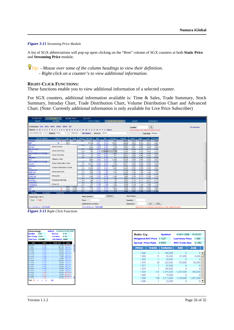#### *Figure 3-11 Streaming Price Module*

A list of SGX abbreviations will pop-up upon clicking on the "Rem" column of SGX counters at both **Static Price**  and **Streaming Price** module.

*Tip: - Mouse over some of the column headings to view their definition. - Right-click on a counter's to view additional information.*

#### **RIGHT-CLICK FUNCTIONS:**

These functions enable you to view additional information of a selected counter.

For SGX counters, additional information available is: Time & Sales, Trade Summary, Stock Summary, Intraday Chart, Trade Distribution Chart, Volume Distribution Chart and Advanced Chart. (Note: Currently additional information is only available for Live Price Subscriber)

| <b>TRADE</b><br><b>ORDERS</b><br><b>ACCOUNTS</b><br><b>STATIC PRICE</b><br><b>STREAMING PRICE</b><br><b>CHART</b><br><b>RESEARCH</b><br>Exchanges: SGX HKEx NYSE NASD AMEX IDX<br>Go<br><b>Counter</b><br>P.<br>Q R S1 S2 T U V W X Y Z Others<br><b>DEFGHIJKLM</b><br>$\mathbf{0}$<br><b>N</b><br>(Prices displayed are delayed at least 20 mins)<br>Market: Ready<br>$\overline{\phantom{a}}$<br>-Watchlist- Fight Quotes<br>Sectors: -Sector-<br>▼<br>Font Size: Medium v<br>%Chg<br>BVol(K)<br>Sell<br>SVol (K)<br>Rem<br>Cha<br><b>Buy</b><br>Vol(K)<br>Open<br>High<br>PrvClose<br>Top 30 Volume<br>$\overline{A}$<br>Last<br>Low<br>٠<br>0.032<br>$+0.014$<br>0.033<br>$+77.8$<br>147<br>0.032<br>1,834<br>58,684<br>0.022<br>0.039<br>0.022<br>0.018<br>XD.<br>0.012<br>87,106<br>0.011<br>14,281<br>56,029<br>0.012<br>0.012<br>0.012<br>0.012<br>0.012<br>$\sim$<br>$\sim$<br>1.111<br>.<br>0.073<br>$+1.4$<br>212<br>0.074<br>0.075<br>2,927<br>43,072<br>0.077<br>0.077<br>0.073<br>Time & Sales<br>3,092<br>0.059<br>0.060<br>42,967<br>0.061<br>0.063<br>0.059<br>0.060<br>1,209<br>$\sim$<br>$+7.7$<br>8,592<br>0.015<br>0.013<br>0.013<br>0.014<br>8,612<br>41,382<br>0.014<br>0.013<br><b>Trade Summary</b><br>$+2.8$<br>780<br>0.145<br>37,820<br>0.150<br>0.144<br>0.142<br>0.146<br>81<br>0.147<br>$-5.7$<br>1,105<br>0.053<br>HSI20800MBeC/V120530@<br>0.050<br>0.051<br>2,045<br>35,512<br>0.058<br>0.059<br>0.050<br><b>Stock Summary</b><br>47<br>0.051<br>0.052<br>0.056<br>0.056<br>0.048<br>0.052<br>$-1.9$<br>971<br>20,413<br>$+2.6$<br>1,227<br>0.042<br>0.038<br>0.039<br>351<br>18,140<br>0.039<br>0.039<br>0.038<br><b>Intraday Chart</b><br>3,498<br>0.025<br>0.026<br>12,696<br>0.026<br>0.026<br>0.025<br>0.025<br>16,836<br>$\sim$<br>$-2.9$<br>0.133<br>0.133<br>HSI20200MBeCVV120628@<br>800<br>0.134<br>800<br>16,561<br>0.142<br>0.142<br>0.138<br><b>Trade Distribution Chart</b><br>$-3.4$<br>15,122<br>0.028<br>0.029<br>0.030<br>0.028<br>0.029<br>0.029<br>7,259<br>16,317<br>564<br>$+12.5$<br>0.009<br>0.009<br>0.009<br>0.008<br>0.010<br>24,188<br>13,766<br>0.009<br><b>Volume Distribution Chart</b><br>14,398<br>0.022<br>0.023<br>0.022<br>$+4.5$<br>0.023<br>8,802<br>13,526<br>0.023<br>0.024<br>$+2.6$<br>1,476<br>0.039<br>0.044<br>0.038<br>0.040<br>755<br>12,764<br>0.038<br>0.038<br><b>Advanced Chart</b><br>$+1.3$<br>1,265<br>1,190<br>1.195<br>2,352<br>12,298<br>1.180<br>1.200<br>1.180<br>1.180<br>$+2.6$<br>171<br>0.198<br>0.199<br>$\overline{4}$<br>10,966<br>0.205<br>0.196<br>0.194<br>0.199<br>Research<br>4,940<br>0.700<br>9,900<br>0.705<br>0.710<br>0.700<br>0.710<br>$-1.4$<br>0.705<br>5,385<br>48<br>0.137<br>9,637<br>0.137<br>0.141<br>0.136<br>0.135<br>$+2.2$<br>0.138<br>182<br><b>Fundamental Data</b><br>0.112<br>$+1.8$<br>581<br>0.113<br>0.114<br>132<br>9,533<br>0.114<br>0.117<br>0.113<br>485<br>$-1.9$<br>0.105<br>0.106<br>284<br>9,186<br>0.110<br>0.110<br>0.103<br>0.108<br>Show All<br>$+0.4$<br>417<br>1.130<br>1,312<br>8,926<br>1.125<br>1.140<br>1.120<br>1.125<br>1.135<br>0.033<br>$+0.001$<br>$+3.1$<br>4,962<br>0.032<br>0.033<br>2,274<br>0.033<br>0.033<br>0.032<br>8,540<br>0.033<br>٠<br>0.410<br>$+0.010$<br>0.410<br>0.420<br>$+2.5$<br>213<br>0.415<br>8,201<br>0.410<br>0.400<br>0.400<br>1,648<br>$\bullet$<br>0.385<br>$+1.3$<br>3,126<br>8,092<br>0.385<br>$+0.005$<br>0.380<br>0.390<br>973<br>0.395<br>0.385<br>0.380<br><b>Trade Done</b><br>Processed<br><b>Search</b><br><b>Stock Name:</b> | <b>ATTENTION</b>              | <b>STOCKS</b> | <b>ONLINE HELP</b> | <b>LOG OUT</b>       |  |  |  |  |
|---------------------------------------------------------------------------------------------------------------------------------------------------------------------------------------------------------------------------------------------------------------------------------------------------------------------------------------------------------------------------------------------------------------------------------------------------------------------------------------------------------------------------------------------------------------------------------------------------------------------------------------------------------------------------------------------------------------------------------------------------------------------------------------------------------------------------------------------------------------------------------------------------------------------------------------------------------------------------------------------------------------------------------------------------------------------------------------------------------------------------------------------------------------------------------------------------------------------------------------------------------------------------------------------------------------------------------------------------------------------------------------------------------------------------------------------------------------------------------------------------------------------------------------------------------------------------------------------------------------------------------------------------------------------------------------------------------------------------------------------------------------------------------------------------------------------------------------------------------------------------------------------------------------------------------------------------------------------------------------------------------------------------------------------------------------------------------------------------------------------------------------------------------------------------------------------------------------------------------------------------------------------------------------------------------------------------------------------------------------------------------------------------------------------------------------------------------------------------------------------------------------------------------------------------------------------------------------------------------------------------------------------------------------------------------------------------------------------------------------------------------------------------------------------------------------------------------------------------------------------------------------------------------------------------------------------------------------------------------------------------------------------------------------------------------------------------------------------------------------------------------------------------------------------------------------------------------------------------------------------------------------------------------------------------------------------------------------------------------------------------------------------------------------------------------------------------------------------------------------------------------------------------|-------------------------------|---------------|--------------------|----------------------|--|--|--|--|
|                                                                                                                                                                                                                                                                                                                                                                                                                                                                                                                                                                                                                                                                                                                                                                                                                                                                                                                                                                                                                                                                                                                                                                                                                                                                                                                                                                                                                                                                                                                                                                                                                                                                                                                                                                                                                                                                                                                                                                                                                                                                                                                                                                                                                                                                                                                                                                                                                                                                                                                                                                                                                                                                                                                                                                                                                                                                                                                                                                                                                                                                                                                                                                                                                                                                                                                                                                                                                                                                                                                           |                               |               |                    |                      |  |  |  |  |
|                                                                                                                                                                                                                                                                                                                                                                                                                                                                                                                                                                                                                                                                                                                                                                                                                                                                                                                                                                                                                                                                                                                                                                                                                                                                                                                                                                                                                                                                                                                                                                                                                                                                                                                                                                                                                                                                                                                                                                                                                                                                                                                                                                                                                                                                                                                                                                                                                                                                                                                                                                                                                                                                                                                                                                                                                                                                                                                                                                                                                                                                                                                                                                                                                                                                                                                                                                                                                                                                                                                           |                               |               |                    |                      |  |  |  |  |
|                                                                                                                                                                                                                                                                                                                                                                                                                                                                                                                                                                                                                                                                                                                                                                                                                                                                                                                                                                                                                                                                                                                                                                                                                                                                                                                                                                                                                                                                                                                                                                                                                                                                                                                                                                                                                                                                                                                                                                                                                                                                                                                                                                                                                                                                                                                                                                                                                                                                                                                                                                                                                                                                                                                                                                                                                                                                                                                                                                                                                                                                                                                                                                                                                                                                                                                                                                                                                                                                                                                           |                               |               |                    |                      |  |  |  |  |
|                                                                                                                                                                                                                                                                                                                                                                                                                                                                                                                                                                                                                                                                                                                                                                                                                                                                                                                                                                                                                                                                                                                                                                                                                                                                                                                                                                                                                                                                                                                                                                                                                                                                                                                                                                                                                                                                                                                                                                                                                                                                                                                                                                                                                                                                                                                                                                                                                                                                                                                                                                                                                                                                                                                                                                                                                                                                                                                                                                                                                                                                                                                                                                                                                                                                                                                                                                                                                                                                                                                           | Stocks: A B C                 |               |                    |                      |  |  |  |  |
|                                                                                                                                                                                                                                                                                                                                                                                                                                                                                                                                                                                                                                                                                                                                                                                                                                                                                                                                                                                                                                                                                                                                                                                                                                                                                                                                                                                                                                                                                                                                                                                                                                                                                                                                                                                                                                                                                                                                                                                                                                                                                                                                                                                                                                                                                                                                                                                                                                                                                                                                                                                                                                                                                                                                                                                                                                                                                                                                                                                                                                                                                                                                                                                                                                                                                                                                                                                                                                                                                                                           | -More Market Info-            |               |                    |                      |  |  |  |  |
|                                                                                                                                                                                                                                                                                                                                                                                                                                                                                                                                                                                                                                                                                                                                                                                                                                                                                                                                                                                                                                                                                                                                                                                                                                                                                                                                                                                                                                                                                                                                                                                                                                                                                                                                                                                                                                                                                                                                                                                                                                                                                                                                                                                                                                                                                                                                                                                                                                                                                                                                                                                                                                                                                                                                                                                                                                                                                                                                                                                                                                                                                                                                                                                                                                                                                                                                                                                                                                                                                                                           |                               |               |                    |                      |  |  |  |  |
|                                                                                                                                                                                                                                                                                                                                                                                                                                                                                                                                                                                                                                                                                                                                                                                                                                                                                                                                                                                                                                                                                                                                                                                                                                                                                                                                                                                                                                                                                                                                                                                                                                                                                                                                                                                                                                                                                                                                                                                                                                                                                                                                                                                                                                                                                                                                                                                                                                                                                                                                                                                                                                                                                                                                                                                                                                                                                                                                                                                                                                                                                                                                                                                                                                                                                                                                                                                                                                                                                                                           |                               |               |                    |                      |  |  |  |  |
|                                                                                                                                                                                                                                                                                                                                                                                                                                                                                                                                                                                                                                                                                                                                                                                                                                                                                                                                                                                                                                                                                                                                                                                                                                                                                                                                                                                                                                                                                                                                                                                                                                                                                                                                                                                                                                                                                                                                                                                                                                                                                                                                                                                                                                                                                                                                                                                                                                                                                                                                                                                                                                                                                                                                                                                                                                                                                                                                                                                                                                                                                                                                                                                                                                                                                                                                                                                                                                                                                                                           | <b>WE Hidgs</b>               |               |                    |                      |  |  |  |  |
|                                                                                                                                                                                                                                                                                                                                                                                                                                                                                                                                                                                                                                                                                                                                                                                                                                                                                                                                                                                                                                                                                                                                                                                                                                                                                                                                                                                                                                                                                                                                                                                                                                                                                                                                                                                                                                                                                                                                                                                                                                                                                                                                                                                                                                                                                                                                                                                                                                                                                                                                                                                                                                                                                                                                                                                                                                                                                                                                                                                                                                                                                                                                                                                                                                                                                                                                                                                                                                                                                                                           | <b>MDR</b>                    |               |                    |                      |  |  |  |  |
|                                                                                                                                                                                                                                                                                                                                                                                                                                                                                                                                                                                                                                                                                                                                                                                                                                                                                                                                                                                                                                                                                                                                                                                                                                                                                                                                                                                                                                                                                                                                                                                                                                                                                                                                                                                                                                                                                                                                                                                                                                                                                                                                                                                                                                                                                                                                                                                                                                                                                                                                                                                                                                                                                                                                                                                                                                                                                                                                                                                                                                                                                                                                                                                                                                                                                                                                                                                                                                                                                                                           | JEL Corp^                     |               |                    |                      |  |  |  |  |
|                                                                                                                                                                                                                                                                                                                                                                                                                                                                                                                                                                                                                                                                                                                                                                                                                                                                                                                                                                                                                                                                                                                                                                                                                                                                                                                                                                                                                                                                                                                                                                                                                                                                                                                                                                                                                                                                                                                                                                                                                                                                                                                                                                                                                                                                                                                                                                                                                                                                                                                                                                                                                                                                                                                                                                                                                                                                                                                                                                                                                                                                                                                                                                                                                                                                                                                                                                                                                                                                                                                           | <b>UniFiber</b>               |               |                    |                      |  |  |  |  |
|                                                                                                                                                                                                                                                                                                                                                                                                                                                                                                                                                                                                                                                                                                                                                                                                                                                                                                                                                                                                                                                                                                                                                                                                                                                                                                                                                                                                                                                                                                                                                                                                                                                                                                                                                                                                                                                                                                                                                                                                                                                                                                                                                                                                                                                                                                                                                                                                                                                                                                                                                                                                                                                                                                                                                                                                                                                                                                                                                                                                                                                                                                                                                                                                                                                                                                                                                                                                                                                                                                                           | NexGenSCom^                   |               |                    |                      |  |  |  |  |
|                                                                                                                                                                                                                                                                                                                                                                                                                                                                                                                                                                                                                                                                                                                                                                                                                                                                                                                                                                                                                                                                                                                                                                                                                                                                                                                                                                                                                                                                                                                                                                                                                                                                                                                                                                                                                                                                                                                                                                                                                                                                                                                                                                                                                                                                                                                                                                                                                                                                                                                                                                                                                                                                                                                                                                                                                                                                                                                                                                                                                                                                                                                                                                                                                                                                                                                                                                                                                                                                                                                           | TT Int                        |               |                    |                      |  |  |  |  |
|                                                                                                                                                                                                                                                                                                                                                                                                                                                                                                                                                                                                                                                                                                                                                                                                                                                                                                                                                                                                                                                                                                                                                                                                                                                                                                                                                                                                                                                                                                                                                                                                                                                                                                                                                                                                                                                                                                                                                                                                                                                                                                                                                                                                                                                                                                                                                                                                                                                                                                                                                                                                                                                                                                                                                                                                                                                                                                                                                                                                                                                                                                                                                                                                                                                                                                                                                                                                                                                                                                                           |                               |               |                    |                      |  |  |  |  |
|                                                                                                                                                                                                                                                                                                                                                                                                                                                                                                                                                                                                                                                                                                                                                                                                                                                                                                                                                                                                                                                                                                                                                                                                                                                                                                                                                                                                                                                                                                                                                                                                                                                                                                                                                                                                                                                                                                                                                                                                                                                                                                                                                                                                                                                                                                                                                                                                                                                                                                                                                                                                                                                                                                                                                                                                                                                                                                                                                                                                                                                                                                                                                                                                                                                                                                                                                                                                                                                                                                                           | <b>JEP</b>                    |               |                    |                      |  |  |  |  |
|                                                                                                                                                                                                                                                                                                                                                                                                                                                                                                                                                                                                                                                                                                                                                                                                                                                                                                                                                                                                                                                                                                                                                                                                                                                                                                                                                                                                                                                                                                                                                                                                                                                                                                                                                                                                                                                                                                                                                                                                                                                                                                                                                                                                                                                                                                                                                                                                                                                                                                                                                                                                                                                                                                                                                                                                                                                                                                                                                                                                                                                                                                                                                                                                                                                                                                                                                                                                                                                                                                                           | Ntegrator<br>HLH              |               |                    |                      |  |  |  |  |
|                                                                                                                                                                                                                                                                                                                                                                                                                                                                                                                                                                                                                                                                                                                                                                                                                                                                                                                                                                                                                                                                                                                                                                                                                                                                                                                                                                                                                                                                                                                                                                                                                                                                                                                                                                                                                                                                                                                                                                                                                                                                                                                                                                                                                                                                                                                                                                                                                                                                                                                                                                                                                                                                                                                                                                                                                                                                                                                                                                                                                                                                                                                                                                                                                                                                                                                                                                                                                                                                                                                           |                               |               |                    |                      |  |  |  |  |
|                                                                                                                                                                                                                                                                                                                                                                                                                                                                                                                                                                                                                                                                                                                                                                                                                                                                                                                                                                                                                                                                                                                                                                                                                                                                                                                                                                                                                                                                                                                                                                                                                                                                                                                                                                                                                                                                                                                                                                                                                                                                                                                                                                                                                                                                                                                                                                                                                                                                                                                                                                                                                                                                                                                                                                                                                                                                                                                                                                                                                                                                                                                                                                                                                                                                                                                                                                                                                                                                                                                           | AdvSCT                        |               |                    |                      |  |  |  |  |
|                                                                                                                                                                                                                                                                                                                                                                                                                                                                                                                                                                                                                                                                                                                                                                                                                                                                                                                                                                                                                                                                                                                                                                                                                                                                                                                                                                                                                                                                                                                                                                                                                                                                                                                                                                                                                                                                                                                                                                                                                                                                                                                                                                                                                                                                                                                                                                                                                                                                                                                                                                                                                                                                                                                                                                                                                                                                                                                                                                                                                                                                                                                                                                                                                                                                                                                                                                                                                                                                                                                           | <b>LH</b> Group               |               |                    |                      |  |  |  |  |
|                                                                                                                                                                                                                                                                                                                                                                                                                                                                                                                                                                                                                                                                                                                                                                                                                                                                                                                                                                                                                                                                                                                                                                                                                                                                                                                                                                                                                                                                                                                                                                                                                                                                                                                                                                                                                                                                                                                                                                                                                                                                                                                                                                                                                                                                                                                                                                                                                                                                                                                                                                                                                                                                                                                                                                                                                                                                                                                                                                                                                                                                                                                                                                                                                                                                                                                                                                                                                                                                                                                           | <b>Ipco</b>                   |               |                    |                      |  |  |  |  |
|                                                                                                                                                                                                                                                                                                                                                                                                                                                                                                                                                                                                                                                                                                                                                                                                                                                                                                                                                                                                                                                                                                                                                                                                                                                                                                                                                                                                                                                                                                                                                                                                                                                                                                                                                                                                                                                                                                                                                                                                                                                                                                                                                                                                                                                                                                                                                                                                                                                                                                                                                                                                                                                                                                                                                                                                                                                                                                                                                                                                                                                                                                                                                                                                                                                                                                                                                                                                                                                                                                                           | ChinaACorp                    |               |                    |                      |  |  |  |  |
|                                                                                                                                                                                                                                                                                                                                                                                                                                                                                                                                                                                                                                                                                                                                                                                                                                                                                                                                                                                                                                                                                                                                                                                                                                                                                                                                                                                                                                                                                                                                                                                                                                                                                                                                                                                                                                                                                                                                                                                                                                                                                                                                                                                                                                                                                                                                                                                                                                                                                                                                                                                                                                                                                                                                                                                                                                                                                                                                                                                                                                                                                                                                                                                                                                                                                                                                                                                                                                                                                                                           | Noble Grp                     |               |                    |                      |  |  |  |  |
|                                                                                                                                                                                                                                                                                                                                                                                                                                                                                                                                                                                                                                                                                                                                                                                                                                                                                                                                                                                                                                                                                                                                                                                                                                                                                                                                                                                                                                                                                                                                                                                                                                                                                                                                                                                                                                                                                                                                                                                                                                                                                                                                                                                                                                                                                                                                                                                                                                                                                                                                                                                                                                                                                                                                                                                                                                                                                                                                                                                                                                                                                                                                                                                                                                                                                                                                                                                                                                                                                                                           | Starland                      |               |                    |                      |  |  |  |  |
|                                                                                                                                                                                                                                                                                                                                                                                                                                                                                                                                                                                                                                                                                                                                                                                                                                                                                                                                                                                                                                                                                                                                                                                                                                                                                                                                                                                                                                                                                                                                                                                                                                                                                                                                                                                                                                                                                                                                                                                                                                                                                                                                                                                                                                                                                                                                                                                                                                                                                                                                                                                                                                                                                                                                                                                                                                                                                                                                                                                                                                                                                                                                                                                                                                                                                                                                                                                                                                                                                                                           | GoldenAgr                     |               |                    |                      |  |  |  |  |
|                                                                                                                                                                                                                                                                                                                                                                                                                                                                                                                                                                                                                                                                                                                                                                                                                                                                                                                                                                                                                                                                                                                                                                                                                                                                                                                                                                                                                                                                                                                                                                                                                                                                                                                                                                                                                                                                                                                                                                                                                                                                                                                                                                                                                                                                                                                                                                                                                                                                                                                                                                                                                                                                                                                                                                                                                                                                                                                                                                                                                                                                                                                                                                                                                                                                                                                                                                                                                                                                                                                           | Rowsley                       |               |                    |                      |  |  |  |  |
|                                                                                                                                                                                                                                                                                                                                                                                                                                                                                                                                                                                                                                                                                                                                                                                                                                                                                                                                                                                                                                                                                                                                                                                                                                                                                                                                                                                                                                                                                                                                                                                                                                                                                                                                                                                                                                                                                                                                                                                                                                                                                                                                                                                                                                                                                                                                                                                                                                                                                                                                                                                                                                                                                                                                                                                                                                                                                                                                                                                                                                                                                                                                                                                                                                                                                                                                                                                                                                                                                                                           | Informatics                   |               |                    |                      |  |  |  |  |
|                                                                                                                                                                                                                                                                                                                                                                                                                                                                                                                                                                                                                                                                                                                                                                                                                                                                                                                                                                                                                                                                                                                                                                                                                                                                                                                                                                                                                                                                                                                                                                                                                                                                                                                                                                                                                                                                                                                                                                                                                                                                                                                                                                                                                                                                                                                                                                                                                                                                                                                                                                                                                                                                                                                                                                                                                                                                                                                                                                                                                                                                                                                                                                                                                                                                                                                                                                                                                                                                                                                           | AddvalTech                    |               |                    |                      |  |  |  |  |
|                                                                                                                                                                                                                                                                                                                                                                                                                                                                                                                                                                                                                                                                                                                                                                                                                                                                                                                                                                                                                                                                                                                                                                                                                                                                                                                                                                                                                                                                                                                                                                                                                                                                                                                                                                                                                                                                                                                                                                                                                                                                                                                                                                                                                                                                                                                                                                                                                                                                                                                                                                                                                                                                                                                                                                                                                                                                                                                                                                                                                                                                                                                                                                                                                                                                                                                                                                                                                                                                                                                           | Yangzijiang                   |               |                    |                      |  |  |  |  |
|                                                                                                                                                                                                                                                                                                                                                                                                                                                                                                                                                                                                                                                                                                                                                                                                                                                                                                                                                                                                                                                                                                                                                                                                                                                                                                                                                                                                                                                                                                                                                                                                                                                                                                                                                                                                                                                                                                                                                                                                                                                                                                                                                                                                                                                                                                                                                                                                                                                                                                                                                                                                                                                                                                                                                                                                                                                                                                                                                                                                                                                                                                                                                                                                                                                                                                                                                                                                                                                                                                                           | Thakral                       |               |                    |                      |  |  |  |  |
|                                                                                                                                                                                                                                                                                                                                                                                                                                                                                                                                                                                                                                                                                                                                                                                                                                                                                                                                                                                                                                                                                                                                                                                                                                                                                                                                                                                                                                                                                                                                                                                                                                                                                                                                                                                                                                                                                                                                                                                                                                                                                                                                                                                                                                                                                                                                                                                                                                                                                                                                                                                                                                                                                                                                                                                                                                                                                                                                                                                                                                                                                                                                                                                                                                                                                                                                                                                                                                                                                                                           | <b>UPP</b>                    |               |                    |                      |  |  |  |  |
|                                                                                                                                                                                                                                                                                                                                                                                                                                                                                                                                                                                                                                                                                                                                                                                                                                                                                                                                                                                                                                                                                                                                                                                                                                                                                                                                                                                                                                                                                                                                                                                                                                                                                                                                                                                                                                                                                                                                                                                                                                                                                                                                                                                                                                                                                                                                                                                                                                                                                                                                                                                                                                                                                                                                                                                                                                                                                                                                                                                                                                                                                                                                                                                                                                                                                                                                                                                                                                                                                                                           | <b>PSL Hidg</b>               |               |                    |                      |  |  |  |  |
|                                                                                                                                                                                                                                                                                                                                                                                                                                                                                                                                                                                                                                                                                                                                                                                                                                                                                                                                                                                                                                                                                                                                                                                                                                                                                                                                                                                                                                                                                                                                                                                                                                                                                                                                                                                                                                                                                                                                                                                                                                                                                                                                                                                                                                                                                                                                                                                                                                                                                                                                                                                                                                                                                                                                                                                                                                                                                                                                                                                                                                                                                                                                                                                                                                                                                                                                                                                                                                                                                                                           | <b>Working</b>                |               |                    |                      |  |  |  |  |
|                                                                                                                                                                                                                                                                                                                                                                                                                                                                                                                                                                                                                                                                                                                                                                                                                                                                                                                                                                                                                                                                                                                                                                                                                                                                                                                                                                                                                                                                                                                                                                                                                                                                                                                                                                                                                                                                                                                                                                                                                                                                                                                                                                                                                                                                                                                                                                                                                                                                                                                                                                                                                                                                                                                                                                                                                                                                                                                                                                                                                                                                                                                                                                                                                                                                                                                                                                                                                                                                                                                           | Client Code: DM101            |               |                    | <b>Stock Symbol:</b> |  |  |  |  |
| Price:<br><b>Quantity:</b>                                                                                                                                                                                                                                                                                                                                                                                                                                                                                                                                                                                                                                                                                                                                                                                                                                                                                                                                                                                                                                                                                                                                                                                                                                                                                                                                                                                                                                                                                                                                                                                                                                                                                                                                                                                                                                                                                                                                                                                                                                                                                                                                                                                                                                                                                                                                                                                                                                                                                                                                                                                                                                                                                                                                                                                                                                                                                                                                                                                                                                                                                                                                                                                                                                                                                                                                                                                                                                                                                                | $\circ$ Buy $\circ$ Sell      |               |                    |                      |  |  |  |  |
| OK<br>Clear<br><b>Settlement Currency:</b><br>Password:                                                                                                                                                                                                                                                                                                                                                                                                                                                                                                                                                                                                                                                                                                                                                                                                                                                                                                                                                                                                                                                                                                                                                                                                                                                                                                                                                                                                                                                                                                                                                                                                                                                                                                                                                                                                                                                                                                                                                                                                                                                                                                                                                                                                                                                                                                                                                                                                                                                                                                                                                                                                                                                                                                                                                                                                                                                                                                                                                                                                                                                                                                                                                                                                                                                                                                                                                                                                                                                                   |                               |               |                    |                      |  |  |  |  |
| Sell Limit Balance : THB 50,000<br>Limits shown are estimates rounded down to the nearest thousand                                                                                                                                                                                                                                                                                                                                                                                                                                                                                                                                                                                                                                                                                                                                                                                                                                                                                                                                                                                                                                                                                                                                                                                                                                                                                                                                                                                                                                                                                                                                                                                                                                                                                                                                                                                                                                                                                                                                                                                                                                                                                                                                                                                                                                                                                                                                                                                                                                                                                                                                                                                                                                                                                                                                                                                                                                                                                                                                                                                                                                                                                                                                                                                                                                                                                                                                                                                                                        | Buy Limit Balance: THB 49,000 |               |                    |                      |  |  |  |  |

*Figure 3-11 Right Click Functions* 

| China Hongx                  |                                   | Updated 15:22:06 on 03 NOV 2008 |                   |
|------------------------------|-----------------------------------|---------------------------------|-------------------|
| <b>Day High</b>              | 0.205                             | Day Low                         | 0.185             |
| Net Change +0.015            |                                   | <b>Last Done</b>                | 0.195             |
| <b>Total Value 7,747,905</b> |                                   | <b>Total Volume 39,261</b>      |                   |
| Time                         | Price                             | <b>Trade size</b>               | <b>Type</b>       |
| 15:21:34                     | 0.195                             |                                 | 11.000 Sell Down  |
| 15:19:21                     | 0.195                             | 697.000                         | Buy Up            |
| 15:19:20                     | 0.195                             | 50.000                          | Buy Up            |
| 15:19:05                     | 0.195                             | 50.000                          | Buy Up            |
| 15:17:32                     | 0.195                             | 50,000                          | Buy Up            |
| 15:17:14                     | 0.195                             | 30,000                          | Buy Up            |
| 15:16:37                     | 0.195                             | 1,000                           | Buy Uo            |
| 15:16:18                     | 0.195                             | 40.000                          | Buy Up            |
| 15:16:00                     | 0.195                             | 100.000                         | Buy Up            |
| 15:15:46                     | 0.195                             | 30.000                          | Buy Up            |
| 15:15:41                     | 0.195                             | 50,000                          | Buy Up            |
| 15:15:41                     | 0.195                             |                                 | 50.000 Buy Up     |
| 15:15:40                     | 0.195                             |                                 | 10,000 Buy Up     |
| 15:15:33                     | 0.195                             | 30,000                          | Buy Up            |
| 15:15:28                     | 0.195                             |                                 | 23.000 Sell Down  |
| 15:15:28                     | 0.195                             | 50.000                          | Sell Down         |
| 15:15:26                     | 0.195                             |                                 | 10,000 Sell Down  |
| 15:15:19<br>Page: [1]        | 0.195<br>3<br>$\overline{2}$<br>4 | ΑII                             | 125,000 Sall Down |

| <b>Noble Grp</b><br><b>Weighted AVG Price</b><br><b>Spread / Price Ratio</b> |              | <b>Updated</b><br>1.1227<br>0.0093 | <b>13 NOV 2008</b><br><b>Last Done Price</b><br><b>AVG Trade Size</b> | 15:23:03<br>1.080<br>21,952 |  |
|------------------------------------------------------------------------------|--------------|------------------------------------|-----------------------------------------------------------------------|-----------------------------|--|
| <b>Price</b>                                                                 | <b>Trade</b> | <b>Volume</b>                      | <b>Bid</b>                                                            | <b>Ask</b>                  |  |
| 1.040                                                                        | 1            | 180,000                            | n                                                                     |                             |  |
| 1.060                                                                        | 11           | 65,000                             | 61,000                                                                | 4,000                       |  |
| 1.069                                                                        | 1            | 48,000                             | n                                                                     | n                           |  |
| 1.070                                                                        | 20           | 252,000                            | 170,000                                                               | 82,000                      |  |
| 1.077                                                                        | 1            | 67,000                             | n                                                                     | n                           |  |
| 1.079                                                                        | 1            | 100,000                            | n                                                                     | n                           |  |
| 1.080                                                                        | 121          | 1,975,000                          | 1,587,000                                                             | 388,000                     |  |
| 1.089                                                                        |              | 75,000                             | n                                                                     |                             |  |
| 1,090                                                                        | 109          | 2,712,000                          | 1,129,000                                                             | 1,557,000                   |  |
| 1.096                                                                        |              | 22,000                             | n                                                                     |                             |  |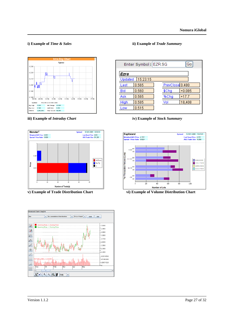#### **i) Example of** *Time & Sales* **ii) Example of** *Trade Summary*









**iii) Example of** *Intraday Chart* **iv) Example of** *Stock Summary*

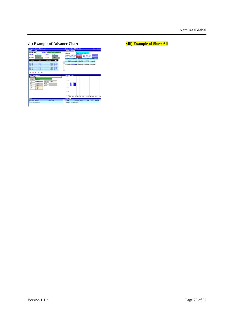#### **vii**) Example of Advance Chart **viii** Example of Show All

| Company Name: GoldenAgr                                                                                                                                                                                                                                                                                                                                                                                                                                                                                                                                                                                                                                                   | Stock Symbol: GARSA.SG<br><b>Burg</b><br><b>Sell</b>                                                                                                                                                                                                                                                                            |
|---------------------------------------------------------------------------------------------------------------------------------------------------------------------------------------------------------------------------------------------------------------------------------------------------------------------------------------------------------------------------------------------------------------------------------------------------------------------------------------------------------------------------------------------------------------------------------------------------------------------------------------------------------------------------|---------------------------------------------------------------------------------------------------------------------------------------------------------------------------------------------------------------------------------------------------------------------------------------------------------------------------------|
| <b>Time &amp; Sales</b>                                                                                                                                                                                                                                                                                                                                                                                                                                                                                                                                                                                                                                                   | <b>Trade Summary</b>                                                                                                                                                                                                                                                                                                            |
| updated 10:53:37 on 12 NOV 2009<br>GoldenAdr<br>Day High<br>0.460<br>0.455<br><b>Bay Low</b><br>0.460<br><b>Hot Change</b><br><b>Last Done</b><br>Total Value 6,585,515<br>Total Volume 14,420<br>trade sure<br><b>Samuel</b><br><b>INVER</b><br><b>Type</b><br>2.462<br>10.52.37<br>1.000 Buy Vit.<br>0.488<br>0.63.28<br>3.000 Sall Down<br>2452<br>10.83.10<br>1,500<br><b>Bus Up</b><br>2.455<br>10.83.91<br>1,555<br><b>Buy Ut</b><br>10.82.14<br>$B$ $AB$<br>1.000<br><b>Buy De</b><br>10:01:07<br>3.450<br>1,500<br><b>Buy Co</b><br>10.50.45<br>$2 - 465$<br>1,355<br><b>Buy Vir</b><br>in en.en.<br><b>COMPA</b><br>$1 - 2 + 3 = 3$<br>2<br>Page: (1)<br>х<br>AI | 12 NOV 2009 10 53:37<br><b>Updated</b><br>0.460<br><b>Weighted AVG Price</b><br><b>Last Done Price</b><br><b>AVG Trade Size</b><br><b>Spread / Price Ratio</b><br>m<br>Price Trade<br>Barr<br>9.531.000<br>0.455<br>100<br>9.632,000<br>0.480<br>ist<br>4.009.000<br>0.4029,000<br>TOTAL-<br>254 14.420.000 9.432.000 4.629.000 |
| Stock at a Glance<br>GoldenAgr<br><b>Updated 10:53:37</b><br>PrevClose 0.460<br>0.460<br>Last<br>0.455<br>\$Cha<br>Rid<br>0.460<br>%Chg<br>Ask<br>0.460<br>High<br>0.455<br>Low                                                                                                                                                                                                                                                                                                                                                                                                                                                                                           | <b>Intraday Chart</b><br>0.470 %<br>$0.464 -$<br>0.459<br>0.402<br>0.446                                                                                                                                                                                                                                                        |
| <b>News</b><br><b>Date/Time Source</b><br><b>News Title</b><br>There is no news.                                                                                                                                                                                                                                                                                                                                                                                                                                                                                                                                                                                          | A ABS -<br>08:59 09:59 10:59 11:59 12:59 13:59 14:59 15:59 15:59 17:59<br><b>Research</b><br>Company Name<br><b>Date</b><br>Mict Price Becom.<br>There is no research.                                                                                                                                                          |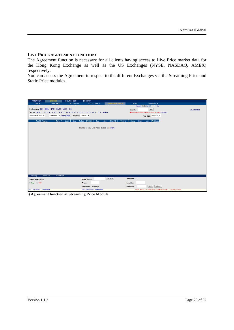#### **LIVE PRICE AGREEMENT FUNCTION:**

The Agreement function is necessary for all clients having access to Live Price market data for the Hong Kong Exchange as well as the US Exchanges (NYSE, NASDAQ, AMEX) respectively.

You can access the Agreement in respect to the different Exchanges via the Streaming Price and Static Price modules.

| <b>ONLINE HELP</b><br><b>ATTENTION</b><br><b>STOCKS</b>                               | LOG OUT                                                          |                                                                 |                       |
|---------------------------------------------------------------------------------------|------------------------------------------------------------------|-----------------------------------------------------------------|-----------------------|
| <b>TRADE</b><br><b>ORDERS</b><br><b>ACCOUNTS</b>                                      | <b>STATIC PRICE</b><br><b>STREAMING PRICE</b>                    | <b>RESEARCH</b><br><b>CHART</b><br>*NASD: 2957.76(1.42)<br>$*D$ |                       |
|                                                                                       |                                                                  |                                                                 |                       |
| Exchanges: SGX HKEx NYSE NASD AMEX IDX                                                |                                                                  | Go<br><b>Counter</b>                                            | <b>IDC Disclaimer</b> |
| Stocks: A B C D E F G H I J K L M N O P Q R S T U V W X Y Z Others                    |                                                                  | (Prices displayed are delayed at least 15 mins) Disclaimer      |                       |
| -More Market Info- $\blacktriangleright$<br>-Watchlist- Fdit Quotes Sectors: -Sector- |                                                                  | Font Size: Medium v                                             |                       |
|                                                                                       |                                                                  |                                                                 |                       |
| Rem   A   Last<br>Top 30 Volume                                                       | Chq   %Chq   BVol $(K)$<br>Sell<br>$ $ SVol (K)<br>Vol(K)<br>Buy | Low <b>PrvClose</b><br>Open<br>High                             |                       |
|                                                                                       |                                                                  |                                                                 |                       |
|                                                                                       | In order to view Live Price, please click here                   |                                                                 |                       |
|                                                                                       |                                                                  |                                                                 |                       |
|                                                                                       |                                                                  |                                                                 |                       |
|                                                                                       |                                                                  |                                                                 |                       |
|                                                                                       |                                                                  |                                                                 |                       |
|                                                                                       |                                                                  |                                                                 |                       |
|                                                                                       |                                                                  |                                                                 |                       |
|                                                                                       |                                                                  |                                                                 |                       |
|                                                                                       |                                                                  |                                                                 |                       |
|                                                                                       |                                                                  |                                                                 |                       |
|                                                                                       |                                                                  |                                                                 |                       |
|                                                                                       |                                                                  |                                                                 |                       |
|                                                                                       |                                                                  |                                                                 |                       |
|                                                                                       |                                                                  |                                                                 |                       |
|                                                                                       |                                                                  |                                                                 |                       |
|                                                                                       |                                                                  |                                                                 |                       |
|                                                                                       |                                                                  |                                                                 |                       |
|                                                                                       |                                                                  |                                                                 |                       |
| <b>Trade Done</b><br>Processed<br>Working                                             |                                                                  |                                                                 |                       |
| Client Code: DM101                                                                    | Search<br><b>Stock Symbol:</b>                                   | <b>Stock Name:</b>                                              |                       |
| <b>Buy Sell</b>                                                                       | Price:                                                           | <b>Quantity:</b>                                                |                       |
|                                                                                       |                                                                  |                                                                 |                       |
|                                                                                       | <b>Settlement Currency:</b>                                      | OK<br>Clear<br>Password:                                        |                       |
| Buy Limit Balance: THB 49,000                                                         | Sell Limit Balance : THB 50,000                                  | Limits shown are estimates rounded down to the nearest thousand |                       |

**i) Agreement function at Streaming Price Module**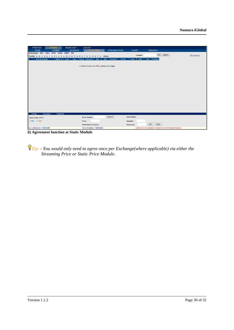| <b>ATTENTION</b>              | <b>STOCKS</b>                          | <b>ONLINE HELP</b>      | LOG OUT                                        |                             |                    |                                                                 |                       |
|-------------------------------|----------------------------------------|-------------------------|------------------------------------------------|-----------------------------|--------------------|-----------------------------------------------------------------|-----------------------|
| <b>TRADE</b>                  | <b>ORDERS</b>                          | <b>ACCOUNTS</b>         | <b>STATIC PRICE</b>                            | <b>STREAMING PRICE</b>      | <b>CHART</b>       | <b>RESEARCH</b>                                                 |                       |
|                               | Exchanges: SGX HKEx NYSE NASD AMEX IDX |                         |                                                |                             |                    |                                                                 |                       |
|                               |                                        |                         |                                                |                             | <b>Counter</b>     | Go <br>Update                                                   | <b>IDC</b> Disclaimer |
| Stocks: A B C D E F G H I J   | $\mathbf{K}$                           | L M N O<br>$\mathbf{P}$ | Q R S T U V W X Y Z Others                     |                             |                    |                                                                 |                       |
| Top 30 Volume                 | Rem   A                                | Chq<br>Last             | %Chg $BVol(K)$<br>Buy                          | SVol (K)<br>Sell<br>Vol (K) | High<br>Open       | PrvClose<br>Low                                                 |                       |
|                               |                                        |                         |                                                |                             |                    |                                                                 |                       |
|                               |                                        |                         | In order to view Live Price, please click here |                             |                    |                                                                 |                       |
|                               |                                        |                         |                                                |                             |                    |                                                                 |                       |
|                               |                                        |                         |                                                |                             |                    |                                                                 |                       |
|                               |                                        |                         |                                                |                             |                    |                                                                 |                       |
|                               |                                        |                         |                                                |                             |                    |                                                                 |                       |
|                               |                                        |                         |                                                |                             |                    |                                                                 |                       |
|                               |                                        |                         |                                                |                             |                    |                                                                 |                       |
|                               |                                        |                         |                                                |                             |                    |                                                                 |                       |
|                               |                                        |                         |                                                |                             |                    |                                                                 |                       |
|                               |                                        |                         |                                                |                             |                    |                                                                 |                       |
|                               |                                        |                         |                                                |                             |                    |                                                                 |                       |
|                               |                                        |                         |                                                |                             |                    |                                                                 |                       |
|                               |                                        |                         |                                                |                             |                    |                                                                 |                       |
|                               |                                        |                         |                                                |                             |                    |                                                                 |                       |
|                               |                                        |                         |                                                |                             |                    |                                                                 |                       |
|                               |                                        |                         |                                                |                             |                    |                                                                 |                       |
|                               |                                        |                         |                                                |                             |                    |                                                                 |                       |
|                               |                                        |                         |                                                |                             |                    |                                                                 |                       |
| Working                       | <b>Trade Done</b><br>Processed         |                         |                                                |                             |                    |                                                                 |                       |
| Client Code: DM101            |                                        |                         | <b>Stock Symbol:</b>                           | Search                      | <b>Stock Name:</b> |                                                                 |                       |
| <b>Buy Sell</b>               |                                        |                         | Price:                                         |                             | <b>Quantity:</b>   |                                                                 |                       |
|                               |                                        |                         | <b>Settlement Currency:</b>                    |                             | Password:          | Clear<br>OK                                                     |                       |
| Buy Limit Balance: THB 49,000 |                                        |                         | Sell Limit Balance : THB 50,000                |                             |                    | Limits shown are estimates rounded down to the nearest thousand |                       |

**ii) Agreement function at Static Module**

*Tip: - You would only need to agree once per Exchange(where applicable) via either the Streaming Price or Static Price Module.*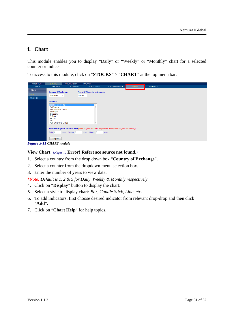### **f. Chart**

This module enables you to display "Daily" or "Weekly" or "Monthly" chart for a selected counter or indices.

To access to this module, click on "**STOCKS**" > "**CHART**" at the top menu bar.

| <b>ATTENTION</b> | <b>STOCKS</b>                                                                                                                                                        | <b>ONLINE HELP</b>   | <b>LOG OUT</b>                                      |                        |       |                 |  |  |
|------------------|----------------------------------------------------------------------------------------------------------------------------------------------------------------------|----------------------|-----------------------------------------------------|------------------------|-------|-----------------|--|--|
| <b>TRADE</b>     | <b>ORDERS</b>                                                                                                                                                        | <b>ACCOUNTS</b>      | <b>STATIC PRICE</b>                                 | <b>STREAMING PRICE</b> | CHART | <b>RESEARCH</b> |  |  |
| Chart            | <b>Country Of Exchange</b>                                                                                                                                           |                      | <b>Types Of Financial Instruments</b>               |                        |       |                 |  |  |
| Chart            | Singapore                                                                                                                                                            | $\blacktriangledown$ | Stocks <b>v</b>                                     |                        |       |                 |  |  |
| Chart Help       |                                                                                                                                                                      |                      |                                                     |                        |       |                 |  |  |
|                  | <b>Counters</b>                                                                                                                                                      |                      |                                                     |                        |       |                 |  |  |
|                  | 12100N 420401 10<br>2ndChance<br>2ndChance W130927<br>800 Super<br>8Telecom<br>A-Sonic<br>AA Grp<br><b>AAT</b><br>ABF SG BOND ETF@                                   |                      | $\blacktriangle$<br>(三)<br>$\overline{\phantom{a}}$ |                        |       |                 |  |  |
|                  | Number of years to view data (up to 10 years for Daily, 20 years for weekly and 50 years for Monthly)<br>Weekly 2<br>Daily 1<br>Monthly 5<br>years<br>years<br>years |                      |                                                     |                        |       |                 |  |  |
|                  | <b>Display</b>                                                                                                                                                       |                      |                                                     |                        |       |                 |  |  |

*Figure 3-11 CHART module* 

#### **View Chart:** *(Refer to* **Error! Reference source not found.***)*

- 1. Select a country from the drop down box "**Country of Exchange**".
- 2. Select a counter from the dropdown menu selection box.
- 3. Enter the number of years to view data.

**\****Note: Default is 1, 2 & 5 for Daily, Weekly & Monthly respectively*

- 4. Click on "**Display**" button to display the chart:
- 5. Select a style to display chart: *Bar, Candle Stick, Line, etc.*
- 6. To add indicators, first choose desired indicator from relevant drop-drop and then click "**Add**".
- 7. Click on "**Chart Help**" for help topics.